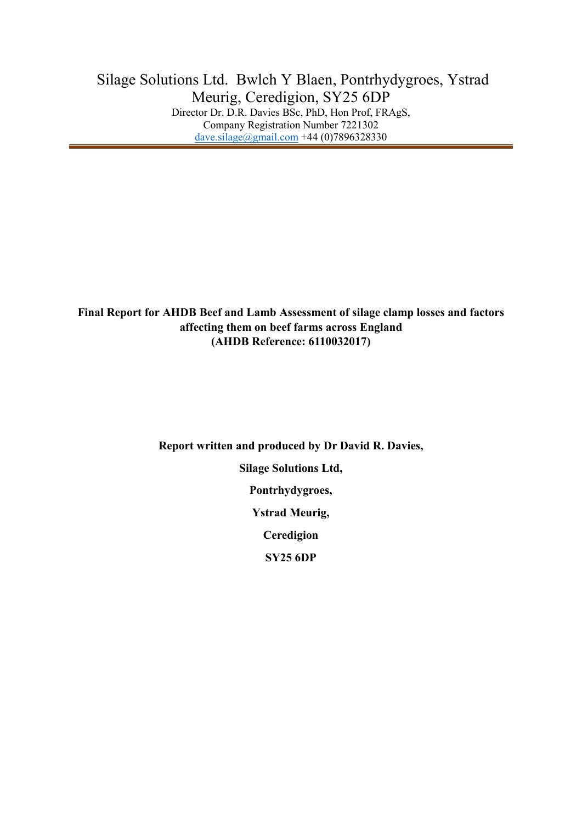**Final Report for AHDB Beef and Lamb Assessment of silage clamp losses and factors affecting them on beef farms across England (AHDB Reference: 6110032017)**

**Report written and produced by Dr David R. Davies,**

**Silage Solutions Ltd,**

**Pontrhydygroes,**

**Ystrad Meurig,**

**Ceredigion**

**SY25 6DP**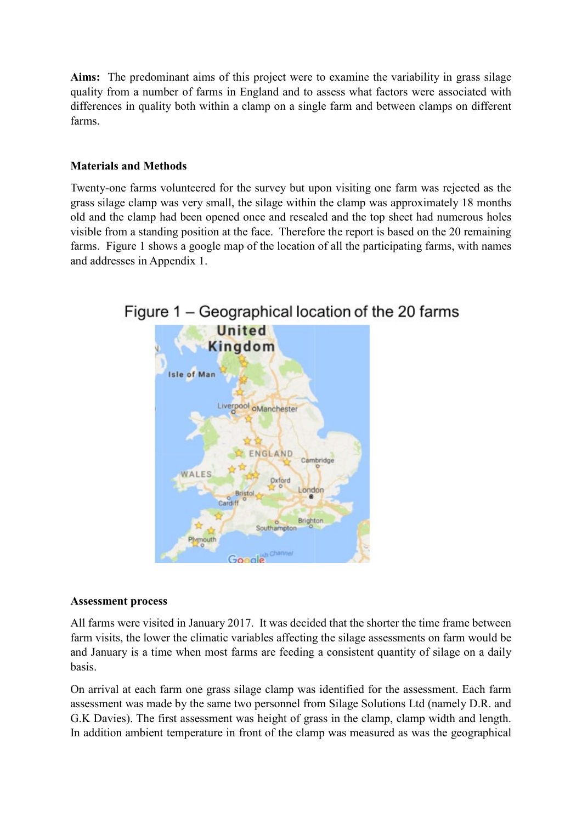**Aims:** The predominant aims of this project were to examine the variability in grass silage quality from a number of farms in England and to assess what factors were associated with differences in quality both within a clamp on a single farm and between clamps on different farms.

# **Materials and Methods**

Twenty-one farms volunteered for the survey but upon visiting one farm was rejected as the grass silage clamp was very small, the silage within the clamp was approximately 18 months old and the clamp had been opened once and resealed and the top sheet had numerous holes visible from a standing position at the face. Therefore the report is based on the 20 remaining farms. Figure 1 shows a google map of the location of all the participating farms, with names and addresses in Appendix 1.



# **Assessment process**

All farms were visited in January 2017. It was decided that the shorter the time frame between farm visits, the lower the climatic variables affecting the silage assessments on farm would be and January is a time when most farms are feeding a consistent quantity of silage on a daily basis.

On arrival at each farm one grass silage clamp was identified for the assessment. Each farm assessment was made by the same two personnel from Silage Solutions Ltd (namely D.R. and G.K Davies). The first assessment was height of grass in the clamp, clamp width and length. In addition ambient temperature in front of the clamp was measured as was the geographical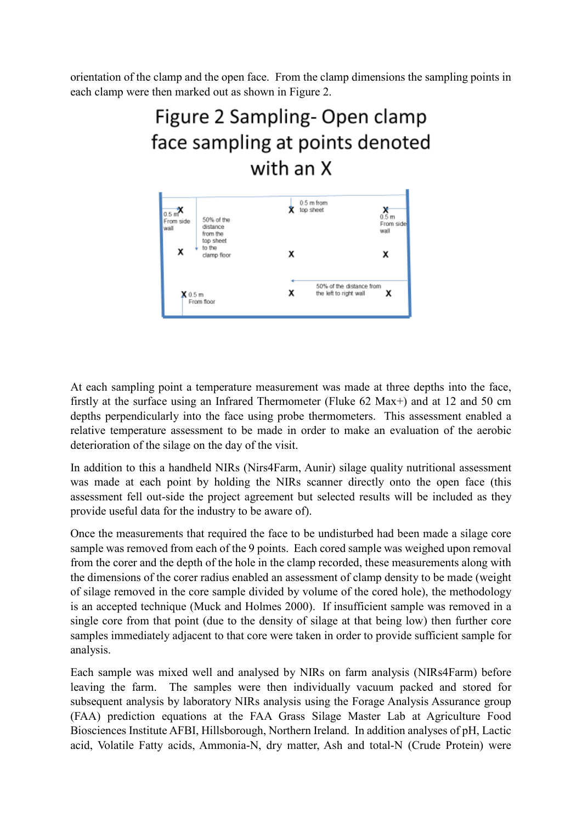orientation of the clamp and the open face. From the clamp dimensions the sampling points in each clamp were then marked out as shown in Figure 2.

# Figure 2 Sampling-Open clamp face sampling at points denoted with an X



At each sampling point a temperature measurement was made at three depths into the face, firstly at the surface using an Infrared Thermometer (Fluke 62 Max+) and at 12 and 50 cm depths perpendicularly into the face using probe thermometers. This assessment enabled a relative temperature assessment to be made in order to make an evaluation of the aerobic deterioration of the silage on the day of the visit.

In addition to this a handheld NIRs (Nirs4Farm, Aunir) silage quality nutritional assessment was made at each point by holding the NIRs scanner directly onto the open face (this assessment fell out-side the project agreement but selected results will be included as they provide useful data for the industry to be aware of).

Once the measurements that required the face to be undisturbed had been made a silage core sample was removed from each of the 9 points. Each cored sample was weighed upon removal from the corer and the depth of the hole in the clamp recorded, these measurements along with the dimensions of the corer radius enabled an assessment of clamp density to be made (weight of silage removed in the core sample divided by volume of the cored hole), the methodology is an accepted technique (Muck and Holmes 2000). If insufficient sample was removed in a single core from that point (due to the density of silage at that being low) then further core samples immediately adjacent to that core were taken in order to provide sufficient sample for analysis.

Each sample was mixed well and analysed by NIRs on farm analysis (NIRs4Farm) before leaving the farm. The samples were then individually vacuum packed and stored for subsequent analysis by laboratory NIRs analysis using the Forage Analysis Assurance group (FAA) prediction equations at the FAA Grass Silage Master Lab at Agriculture Food Biosciences Institute AFBI, Hillsborough, Northern Ireland. In addition analyses of pH, Lactic acid, Volatile Fatty acids, Ammonia-N, dry matter, Ash and total-N (Crude Protein) were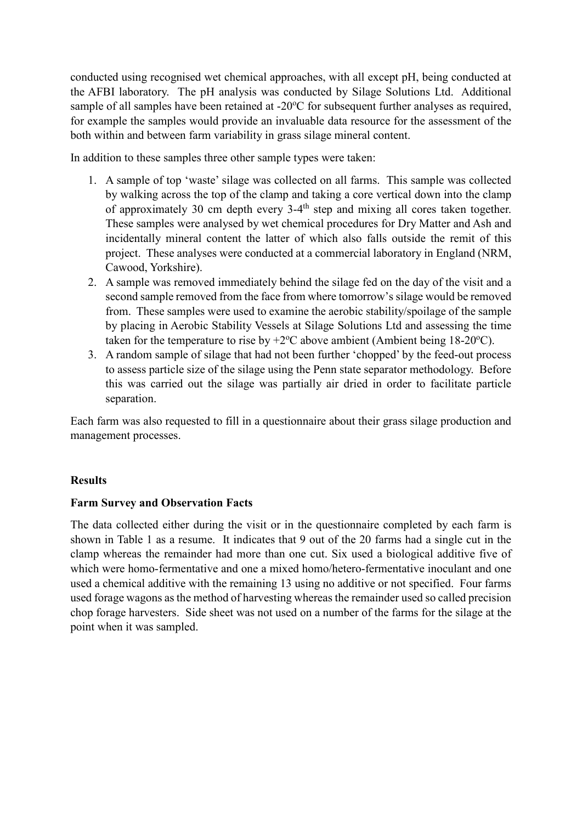conducted using recognised wet chemical approaches, with all except pH, being conducted at the AFBI laboratory. The pH analysis was conducted by Silage Solutions Ltd. Additional sample of all samples have been retained at -20°C for subsequent further analyses as required, for example the samples would provide an invaluable data resource for the assessment of the both within and between farm variability in grass silage mineral content.

In addition to these samples three other sample types were taken:

- 1. A sample of top 'waste' silage was collected on all farms. This sample was collected by walking across the top of the clamp and taking a core vertical down into the clamp of approximately 30 cm depth every  $3-4$ <sup>th</sup> step and mixing all cores taken together. These samples were analysed by wet chemical procedures for Dry Matter and Ash and incidentally mineral content the latter of which also falls outside the remit of this project. These analyses were conducted at a commercial laboratory in England (NRM, Cawood, Yorkshire).
- 2. A sample was removed immediately behind the silage fed on the day of the visit and a second sample removed from the face from where tomorrow's silage would be removed from. These samples were used to examine the aerobic stability/spoilage of the sample by placing in Aerobic Stability Vessels at Silage Solutions Ltd and assessing the time taken for the temperature to rise by  $+2$ °C above ambient (Ambient being 18-20°C).
- 3. A random sample of silage that had not been further 'chopped' by the feed-out process to assess particle size of the silage using the Penn state separator methodology. Before this was carried out the silage was partially air dried in order to facilitate particle separation.

Each farm was also requested to fill in a questionnaire about their grass silage production and management processes.

# **Results**

# **Farm Survey and Observation Facts**

The data collected either during the visit or in the questionnaire completed by each farm is shown in Table 1 as a resume. It indicates that 9 out of the 20 farms had a single cut in the clamp whereas the remainder had more than one cut. Six used a biological additive five of which were homo-fermentative and one a mixed homo/hetero-fermentative inoculant and one used a chemical additive with the remaining 13 using no additive or not specified. Four farms used forage wagons as the method of harvesting whereas the remainder used so called precision chop forage harvesters. Side sheet was not used on a number of the farms for the silage at the point when it was sampled.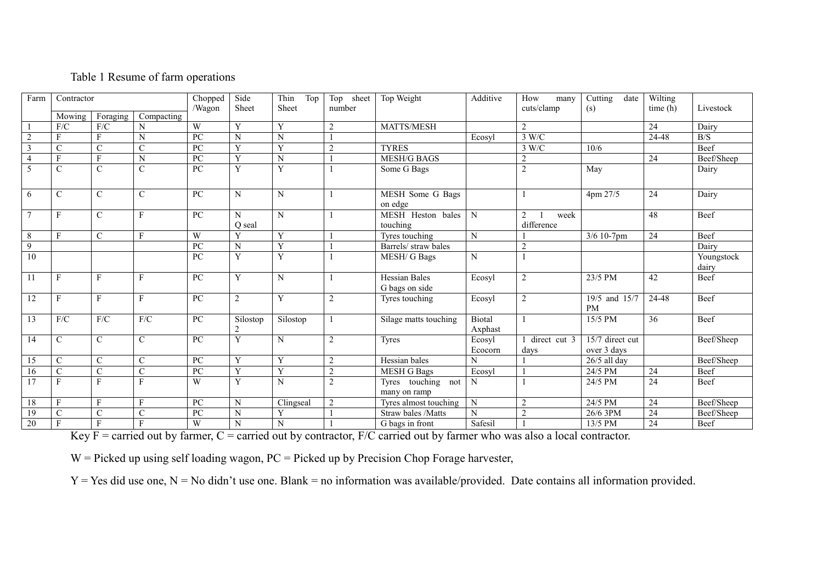# Table 1 Resume of farm operations

| Farm                    | Contractor     |                         | Chopped                 | Side<br>Sheet   | Thin<br>Top<br>Sheet       | Top sheet<br>number | Top Weight     | Additive                               | How<br>many<br>cuts/clamp | Cutting<br>date         | Wilting                                     | Livestock       |                     |
|-------------------------|----------------|-------------------------|-------------------------|-----------------|----------------------------|---------------------|----------------|----------------------------------------|---------------------------|-------------------------|---------------------------------------------|-----------------|---------------------|
|                         | Mowing         | Foraging                | Compacting              | /Wagon          |                            |                     |                |                                        |                           |                         | (s)                                         | time(h)         |                     |
|                         | ${\rm F/C}$    | F/C                     | N                       | W               | Y                          | Y                   | $\overline{2}$ | MATTS/MESH                             |                           | $\overline{2}$          |                                             | $\overline{24}$ | Dairy               |
| $\overline{2}$          | F              | F                       | $\mathbf N$             | PC              | $\mathbf N$                | $\overline{N}$      |                |                                        | Ecosyl                    | 3 W/C                   |                                             | 24-48           | B/S                 |
| $\overline{\mathbf{3}}$ | $\mathbf C$    | $\mathcal{C}$           | $\mathcal{C}$           | PC              | Y                          | Y                   | $\overline{2}$ | <b>TYRES</b>                           |                           | 3 W/C                   | 10/6                                        |                 | <b>Beef</b>         |
| $\overline{4}$          | F              | $\overline{\mathrm{F}}$ | $\mathbf N$             | PC              | Y                          | N                   |                | <b>MESH/G BAGS</b>                     |                           | $\overline{2}$          |                                             | $\overline{24}$ | Beef/Sheep          |
| 5                       | $\mathbf C$    | $\mathbf C$             | $\mathcal{C}$           | PC              | $\overline{Y}$             | Y                   |                | Some G Bags                            |                           | $\overline{2}$          | May                                         |                 | Dairy               |
| 6                       | $\mathcal{C}$  | $\mathbf C$             | $\mathcal{C}$           | PC              | $\mathbf N$                | N                   |                | MESH Some G Bags<br>on edge            |                           |                         | 4pm 27/5                                    | 24              | Dairy               |
| $\tau$                  | F              | $\mathbf C$             | F                       | PC              | N<br>O seal                | N                   |                | MESH Heston bales<br>touching          | N                         | 2<br>week<br>difference |                                             | 48              | Beef                |
| 8                       | F              | $\mathcal{C}$           | F                       | W               | Y                          | Y                   |                | Tyres touching                         | ${\bf N}$                 |                         | $\frac{3}{6}$ 10-7pm                        | $\overline{24}$ | Beef                |
| 9                       |                |                         |                         | PC              | ${\bf N}$                  | Y                   |                | Barrels/ straw bales                   |                           | 2                       |                                             |                 | Dairy               |
| 10                      |                |                         |                         | PC              | Y                          | Y                   |                | <b>MESH/G Bags</b>                     | $\mathbf N$               |                         |                                             |                 | Youngstock<br>dairy |
| 11                      | F              | F                       | F                       | PC              | $\mathbf Y$                | N                   |                | <b>Hessian Bales</b><br>G bags on side | Ecosyl                    | $\overline{2}$          | 23/5 PM                                     | 42              | Beef                |
| 12                      | F              | $\mathbf{F}$            | F                       | PC              | $\sqrt{2}$                 | Y                   | $\overline{2}$ | Tyres touching                         | Ecosyl                    | $\overline{2}$          | 19/5 and 15/7<br><b>PM</b>                  | 24-48           | Beef                |
| 13                      | F/C            | F/C                     | F/C                     | PC              | Silostop<br>$\overline{2}$ | Silostop            |                | Silage matts touching                  | Biotal<br>Axphast         |                         | 15/5 PM                                     | 36              | Beef                |
| 14                      | $\mathcal{C}$  | $\mathcal{C}$           | $\mathbf C$             | PC              | Y                          | N                   | $\overline{2}$ | Tyres                                  | Ecosyl<br>Ecocorn         | direct cut 3<br>days    | $\overline{15/7}$ direct cut<br>over 3 days |                 | Beef/Sheep          |
| 15                      | $\mathcal{C}$  | $\mathcal{C}$           | $\mathcal{C}$           | PC              | Y                          | Y                   | $\overline{2}$ | Hessian bales                          | N                         |                         | $26/5$ all day                              |                 | Beef/Sheep          |
| 16                      | $\overline{C}$ | $\overline{C}$          | $\overline{C}$          | PC              | $\overline{\mathbf{Y}}$    | Y                   | $\sqrt{2}$     | <b>MESH</b> G Bags                     | Ecosyl                    |                         | 24/5 PM                                     | $\overline{24}$ | Beef                |
| $\overline{17}$         | F              | $\mathbf{F}$            | $\mathbf{F}$            | W               | $\overline{Y}$             | N                   | 2              | Tyres touching<br>not<br>many on ramp  | N                         |                         | 24/5 PM                                     | 24              | <b>Beef</b>         |
| 18                      | F              | $\overline{\mathrm{F}}$ | $\overline{\mathrm{F}}$ | $\overline{PC}$ | $\overline{N}$             | Clingseal           | $\overline{2}$ | Tyres almost touching                  | ${\bf N}$                 | $\overline{2}$          | 24/5 PM                                     | $\overline{24}$ | Beef/Sheep          |
| $\overline{19}$         | $\mathbf C$    | $\mathcal{C}$           | $\mathcal{C}$           | PC              | $\mathbf N$                | Y                   |                | Straw bales /Matts                     | N                         | $\overline{2}$          | 26/6 3PM                                    | 24              | Beef/Sheep          |
| 20                      | F              | $\mathbf{F}$            | $\mathbf{F}$            | W               | $\mathbf N$                | N                   |                | G bags in front                        | Safesil                   |                         | 13/5 PM                                     | $\overline{24}$ | Beef                |

Key  $F =$  carried out by farmer,  $C =$  carried out by contractor,  $F/C$  carried out by farmer who was also a local contractor.

 $W =$  Picked up using self loading wagon,  $PC =$  Picked up by Precision Chop Forage harvester,

 $Y = Yes$  did use one,  $N = No$  didn't use one. Blank = no information was available/provided. Date contains all information provided.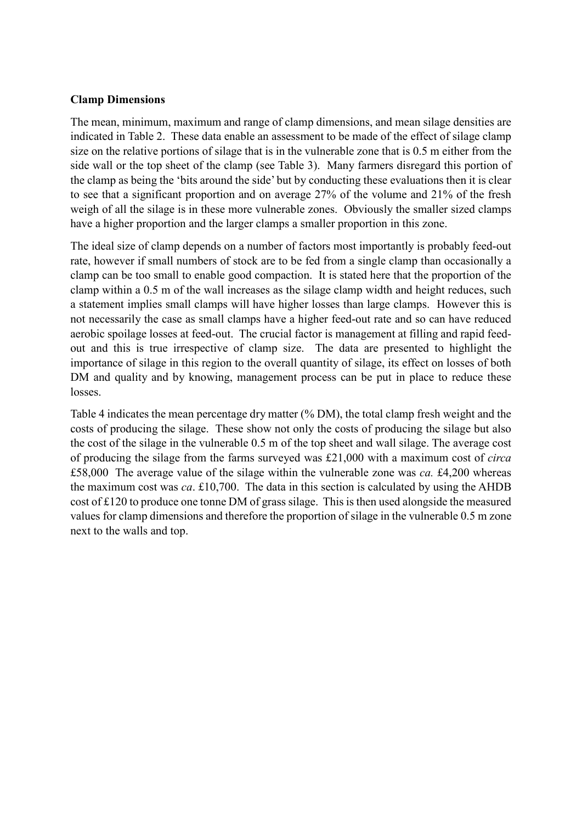# **Clamp Dimensions**

The mean, minimum, maximum and range of clamp dimensions, and mean silage densities are indicated in Table 2. These data enable an assessment to be made of the effect of silage clamp size on the relative portions of silage that is in the vulnerable zone that is 0.5 m either from the side wall or the top sheet of the clamp (see Table 3). Many farmers disregard this portion of the clamp as being the 'bits around the side' but by conducting these evaluations then it is clear to see that a significant proportion and on average 27% of the volume and 21% of the fresh weigh of all the silage is in these more vulnerable zones. Obviously the smaller sized clamps have a higher proportion and the larger clamps a smaller proportion in this zone.

The ideal size of clamp depends on a number of factors most importantly is probably feed-out rate, however if small numbers of stock are to be fed from a single clamp than occasionally a clamp can be too small to enable good compaction. It is stated here that the proportion of the clamp within a 0.5 m of the wall increases as the silage clamp width and height reduces, such a statement implies small clamps will have higher losses than large clamps. However this is not necessarily the case as small clamps have a higher feed-out rate and so can have reduced aerobic spoilage losses at feed-out. The crucial factor is management at filling and rapid feedout and this is true irrespective of clamp size. The data are presented to highlight the importance of silage in this region to the overall quantity of silage, its effect on losses of both DM and quality and by knowing, management process can be put in place to reduce these losses.

Table 4 indicates the mean percentage dry matter (% DM), the total clamp fresh weight and the costs of producing the silage. These show not only the costs of producing the silage but also the cost of the silage in the vulnerable 0.5 m of the top sheet and wall silage. The average cost of producing the silage from the farms surveyed was £21,000 with a maximum cost of *circa* £58,000 The average value of the silage within the vulnerable zone was *ca.* £4,200 whereas the maximum cost was *ca*. £10,700. The data in this section is calculated by using the AHDB cost of £120 to produce one tonne DM of grass silage. This is then used alongside the measured values for clamp dimensions and therefore the proportion of silage in the vulnerable 0.5 m zone next to the walls and top.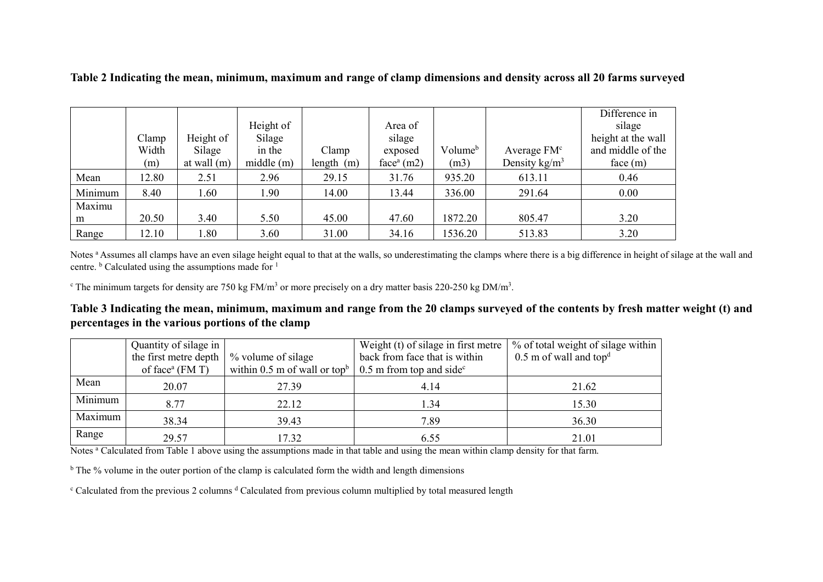|         |       |               |           |              |              |                     |                 | Difference in      |
|---------|-------|---------------|-----------|--------------|--------------|---------------------|-----------------|--------------------|
|         |       |               | Height of |              | Area of      |                     |                 | silage             |
|         | Clamp | Height of     | Silage    |              | silage       |                     |                 | height at the wall |
|         | Width | Silage        | in the    | Clamp        | exposed      | Volume <sup>b</sup> | Average $FMc$   | and middle of the  |
|         | (m)   | at wall $(m)$ | middle(m) | length $(m)$ | $facea$ (m2) | (m3)                | Density $kg/m3$ | face(m)            |
| Mean    | 12.80 | 2.51          | 2.96      | 29.15        | 31.76        | 935.20              | 613.11          | 0.46               |
| Minimum | 8.40  | 1.60          | 1.90      | 14.00        | 13.44        | 336.00              | 291.64          | 0.00               |
| Maximu  |       |               |           |              |              |                     |                 |                    |
| m       | 20.50 | 3.40          | 5.50      | 45.00        | 47.60        | 1872.20             | 805.47          | 3.20               |
| Range   | 12.10 | 1.80          | 3.60      | 31.00        | 34.16        | 1536.20             | 513.83          | 3.20               |

**Table 2 Indicating the mean, minimum, maximum and range of clamp dimensions and density across all 20 farms surveyed**

Notes <sup>a</sup> Assumes all clamps have an even silage height equal to that at the walls, so underestimating the clamps where there is a big difference in height of silage at the wall and centre.  $\frac{b}{c}$  Calculated using the assumptions made for <sup>1</sup>

<sup>c</sup> The minimum targets for density are 750 kg FM/m<sup>3</sup> or more precisely on a dry matter basis 220-250 kg DM/m<sup>3</sup>.

**Table 3 Indicating the mean, minimum, maximum and range from the 20 clamps surveyed of the contents by fresh matter weight (t) and percentages in the various portions of the clamp**

|                       | Quantity of silage in                    |                                          | Weight (t) of silage in first metre $\vert$ | % of total weight of silage within   |  |
|-----------------------|------------------------------------------|------------------------------------------|---------------------------------------------|--------------------------------------|--|
| the first metre depth |                                          | % volume of silage                       | back from face that is within               | $0.5$ m of wall and top <sup>d</sup> |  |
|                       | of face <sup><math>a</math></sup> (FM T) | within 0.5 m of wall or top <sup>b</sup> | $0.5$ m from top and side <sup>c</sup>      |                                      |  |
| Mean                  | 20.07                                    | 27.39                                    | 4.14                                        | 21.62                                |  |
| Minimum               | 8.77                                     | 22.12                                    | 1.34                                        | 15.30                                |  |
| Maximum               | 38.34                                    | 39.43                                    | 7.89                                        | 36.30                                |  |
| Range                 | 29.57                                    | 17.32                                    | 6.55                                        | 21.01                                |  |

Notes <sup>a</sup> Calculated from Table 1 above using the assumptions made in that table and using the mean within clamp density for that farm.

 $<sup>b</sup>$  The % volume in the outer portion of the clamp is calculated form the width and length dimensions</sup>

<sup>c</sup> Calculated from the previous 2 columns <sup>d</sup> Calculated from previous column multiplied by total measured length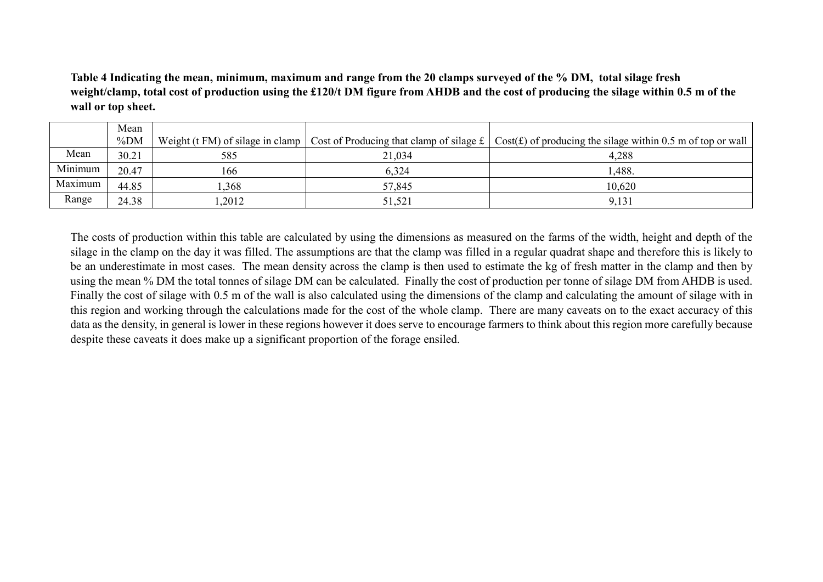**Table 4 Indicating the mean, minimum, maximum and range from the 20 clamps surveyed of the % DM, total silage fresh weight/clamp, total cost of production using the £120/t DM figure from AHDB and the cost of producing the silage within 0.5 m of the wall or top sheet.**

|         | Mean   |       |        |                                                                                                                                                 |
|---------|--------|-------|--------|-------------------------------------------------------------------------------------------------------------------------------------------------|
|         | $\%DM$ |       |        | Weight (t FM) of silage in clamp   Cost of Producing that clamp of silage $f$   Cost( $f$ ) of producing the silage within 0.5 m of top or wall |
| Mean    | 30.21  | 585   | 21,034 | 4,288                                                                                                                                           |
| Minimum | 20.47  | 166   | 6,324  | 1,488.                                                                                                                                          |
| Maximum | 44.85  | .368  | 57,845 | 10,620                                                                                                                                          |
| Range   | 24.38  | ,2012 | 51,521 | 9,131                                                                                                                                           |

The costs of production within this table are calculated by using the dimensions as measured on the farms of the width, height and depth of the silage in the clamp on the day it was filled. The assumptions are that the clamp was filled in a regular quadrat shape and therefore this is likely to be an underestimate in most cases. The mean density across the clamp is then used to estimate the kg of fresh matter in the clamp and then by using the mean % DM the total tonnes of silage DM can be calculated. Finally the cost of production per tonne of silage DM from AHDB is used. Finally the cost of silage with 0.5 m of the wall is also calculated using the dimensions of the clamp and calculating the amount of silage with in this region and working through the calculations made for the cost of the whole clamp. There are many caveats on to the exact accuracy of this data as the density, in general is lower in these regions however it does serve to encourage farmers to think about this region more carefully because despite these caveats it does make up a significant proportion of the forage ensiled.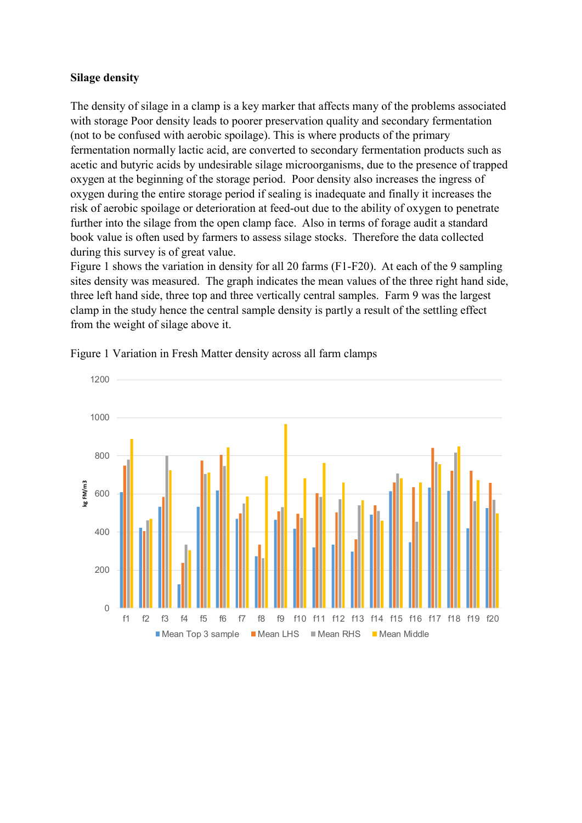### **Silage density**

The density of silage in a clamp is a key marker that affects many of the problems associated with storage Poor density leads to poorer preservation quality and secondary fermentation (not to be confused with aerobic spoilage). This is where products of the primary fermentation normally lactic acid, are converted to secondary fermentation products such as acetic and butyric acids by undesirable silage microorganisms, due to the presence of trapped oxygen at the beginning of the storage period. Poor density also increases the ingress of oxygen during the entire storage period if sealing is inadequate and finally it increases the risk of aerobic spoilage or deterioration at feed-out due to the ability of oxygen to penetrate further into the silage from the open clamp face. Also in terms of forage audit a standard book value is often used by farmers to assess silage stocks. Therefore the data collected during this survey is of great value.

Figure 1 shows the variation in density for all 20 farms (F1-F20). At each of the 9 sampling sites density was measured. The graph indicates the mean values of the three right hand side, three left hand side, three top and three vertically central samples. Farm 9 was the largest clamp in the study hence the central sample density is partly a result of the settling effect from the weight of silage above it.



Figure 1 Variation in Fresh Matter density across all farm clamps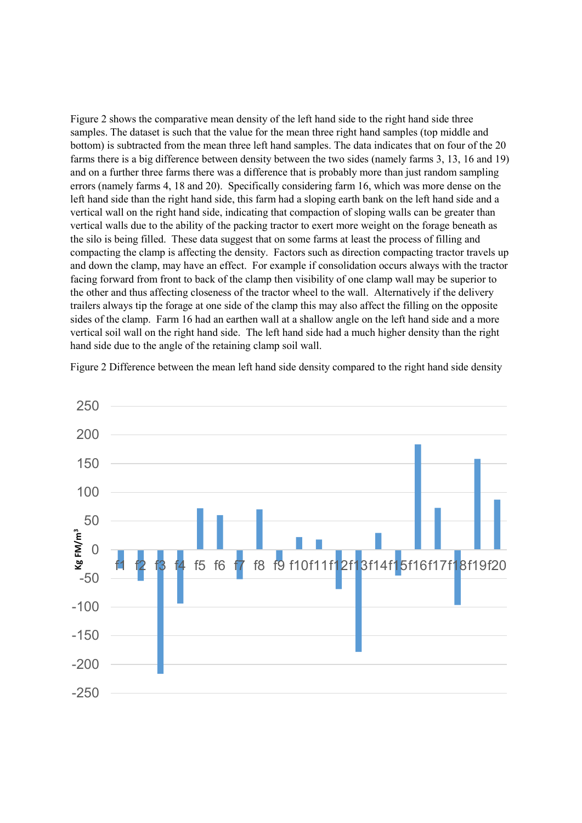Figure 2 shows the comparative mean density of the left hand side to the right hand side three samples. The dataset is such that the value for the mean three right hand samples (top middle and bottom) is subtracted from the mean three left hand samples. The data indicates that on four of the 20 farms there is a big difference between density between the two sides (namely farms 3, 13, 16 and 19) and on a further three farms there was a difference that is probably more than just random sampling errors (namely farms 4, 18 and 20). Specifically considering farm 16, which was more dense on the left hand side than the right hand side, this farm had a sloping earth bank on the left hand side and a vertical wall on the right hand side, indicating that compaction of sloping walls can be greater than vertical walls due to the ability of the packing tractor to exert more weight on the forage beneath as the silo is being filled. These data suggest that on some farms at least the process of filling and compacting the clamp is affecting the density. Factors such as direction compacting tractor travels up and down the clamp, may have an effect. For example if consolidation occurs always with the tractor facing forward from front to back of the clamp then visibility of one clamp wall may be superior to the other and thus affecting closeness of the tractor wheel to the wall. Alternatively if the delivery trailers always tip the forage at one side of the clamp this may also affect the filling on the opposite sides of the clamp. Farm 16 had an earthen wall at a shallow angle on the left hand side and a more vertical soil wall on the right hand side. The left hand side had a much higher density than the right hand side due to the angle of the retaining clamp soil wall.

Figure 2 Difference between the mean left hand side density compared to the right hand side density

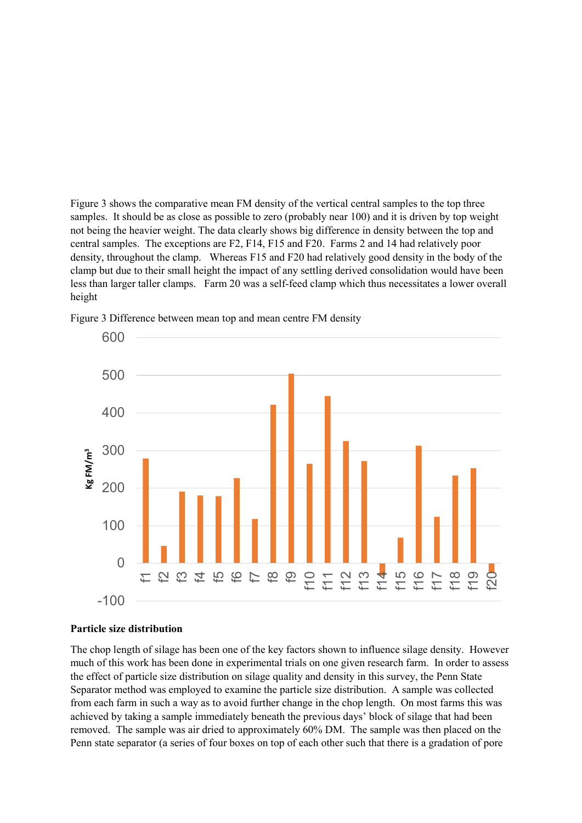Figure 3 shows the comparative mean FM density of the vertical central samples to the top three samples. It should be as close as possible to zero (probably near 100) and it is driven by top weight not being the heavier weight. The data clearly shows big difference in density between the top and central samples. The exceptions are F2, F14, F15 and F20. Farms 2 and 14 had relatively poor density, throughout the clamp. Whereas F15 and F20 had relatively good density in the body of the clamp but due to their small height the impact of any settling derived consolidation would have been less than larger taller clamps. Farm 20 was a self-feed clamp which thus necessitates a lower overall height



Figure 3 Difference between mean top and mean centre FM density

#### **Particle size distribution**

The chop length of silage has been one of the key factors shown to influence silage density. However much of this work has been done in experimental trials on one given research farm. In order to assess the effect of particle size distribution on silage quality and density in this survey, the Penn State Separator method was employed to examine the particle size distribution. A sample was collected from each farm in such a way as to avoid further change in the chop length. On most farms this was achieved by taking a sample immediately beneath the previous days' block of silage that had been removed. The sample was air dried to approximately 60% DM. The sample was then placed on the Penn state separator (a series of four boxes on top of each other such that there is a gradation of pore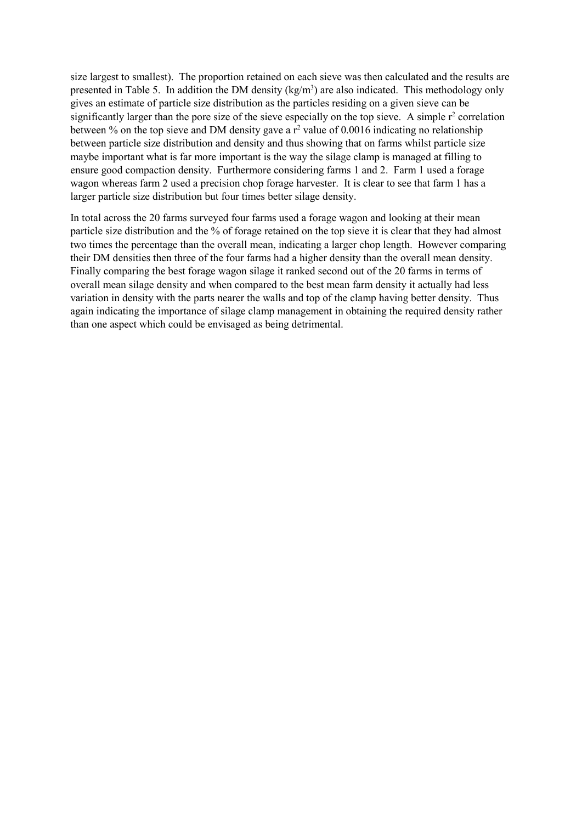size largest to smallest). The proportion retained on each sieve was then calculated and the results are presented in Table 5. In addition the DM density (kg/m<sup>3</sup>) are also indicated. This methodology only gives an estimate of particle size distribution as the particles residing on a given sieve can be significantly larger than the pore size of the sieve especially on the top sieve. A simple  $r^2$  correlation between % on the top sieve and DM density gave a  $r^2$  value of 0.0016 indicating no relationship between particle size distribution and density and thus showing that on farms whilst particle size maybe important what is far more important is the way the silage clamp is managed at filling to ensure good compaction density. Furthermore considering farms 1 and 2. Farm 1 used a forage wagon whereas farm 2 used a precision chop forage harvester. It is clear to see that farm 1 has a larger particle size distribution but four times better silage density.

In total across the 20 farms surveyed four farms used a forage wagon and looking at their mean particle size distribution and the % of forage retained on the top sieve it is clear that they had almost two times the percentage than the overall mean, indicating a larger chop length. However comparing their DM densities then three of the four farms had a higher density than the overall mean density. Finally comparing the best forage wagon silage it ranked second out of the 20 farms in terms of overall mean silage density and when compared to the best mean farm density it actually had less variation in density with the parts nearer the walls and top of the clamp having better density. Thus again indicating the importance of silage clamp management in obtaining the required density rather than one aspect which could be envisaged as being detrimental.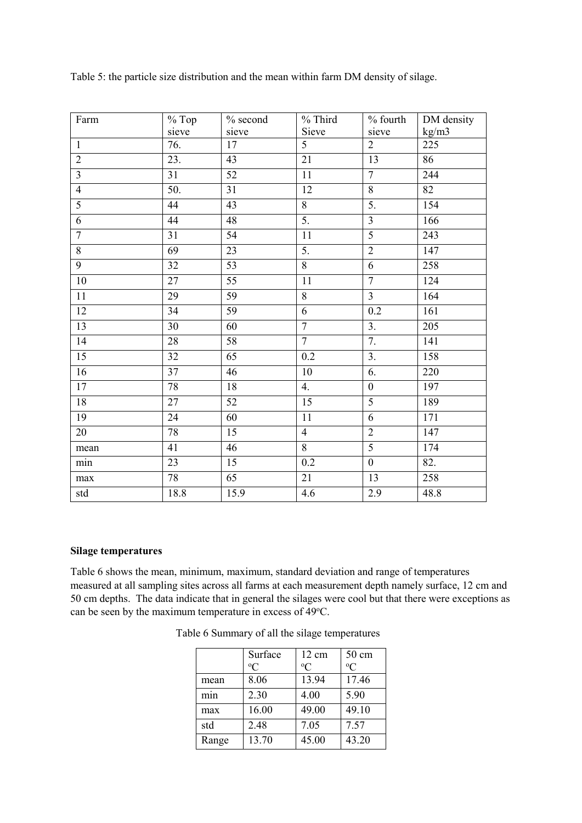| Farm            | $%$ Top           | $%$ second      | $%$ Third        | % fourth                | DM density |
|-----------------|-------------------|-----------------|------------------|-------------------------|------------|
|                 | sieve             | sieve           | Sieve            | sieve                   | kg/m3      |
| $\mathbf{1}$    | 76.               | 17              | $\overline{5}$   | $\overline{2}$          | 225        |
| $\overline{2}$  | 23.               | 43              | 21               | 13                      | 86         |
| $\overline{3}$  | 31                | 52              | 11               | $\overline{7}$          | 244        |
| $\overline{4}$  | $\overline{50}$ . | $\overline{31}$ | $\overline{12}$  | $\overline{8}$          | 82         |
| $\overline{5}$  | 44                | 43              | $\overline{8}$   | 5.                      | 154        |
| $\overline{6}$  | 44                | 48              | $\overline{5}$ . | $\overline{3}$          | 166        |
| $\overline{7}$  | 31                | 54              | 11               | $\overline{5}$          | 243        |
| $\overline{8}$  | 69                | 23              | 5.               | $\overline{2}$          | 147        |
| $\overline{9}$  | 32                | 53              | $\overline{8}$   | $\overline{6}$          | 258        |
| $10\,$          | 27                | 55              | 11               | $\overline{7}$          | 124        |
| $11\,$          | 29                | 59              | 8                | $\overline{\mathbf{3}}$ | 164        |
| 12              | 34                | 59              | $\overline{6}$   | 0.2                     | 161        |
| 13              | 30                | 60              | $\overline{7}$   | 3.                      | 205        |
| 14              | 28                | 58              | $\overline{7}$   | 7.                      | 141        |
| 15              | 32                | 65              | 0.2              | $\overline{3}$ .        | 158        |
| $\overline{16}$ | 37                | 46              | 10               | 6.                      | 220        |
| 17              | 78                | 18              | 4.               | $\boldsymbol{0}$        | 197        |
| $\overline{18}$ | 27                | $\overline{52}$ | $\overline{15}$  | $\overline{5}$          | 189        |
| 19              | 24                | 60              | $11\,$           | 6                       | 171        |
| 20              | 78                | 15              | $\overline{4}$   | $\overline{2}$          | 147        |
| mean            | 41                | 46              | $\overline{8}$   | $\overline{5}$          | 174        |
| min             | 23                | 15              | 0.2              | $\boldsymbol{0}$        | 82.        |
| $\max$          | 78                | 65              | 21               | 13                      | 258        |
| std             | 18.8              | 15.9            | 4.6              | 2.9                     | 48.8       |

Table 5: the particle size distribution and the mean within farm DM density of silage.

# **Silage temperatures**

Table 6 shows the mean, minimum, maximum, standard deviation and range of temperatures measured at all sampling sites across all farms at each measurement depth namely surface, 12 cm and 50 cm depths. The data indicate that in general the silages were cool but that there were exceptions as can be seen by the maximum temperature in excess of 49°C.

|                  | Surface     | 12 cm       | $50 \text{ cm}$ |
|------------------|-------------|-------------|-----------------|
|                  | $\rm ^{o}C$ | $\rm ^{o}C$ | $\rm ^{o}C$     |
| mean             | 8.06        | 13.94       | 17.46           |
| m <sub>1</sub> n | 2.30        | 4.00        | 5.90            |
| max              | 16.00       | 49.00       | 49.10           |
| std              | 2.48        | 7.05        | 7.57            |
| Range            | 13.70       | 45.00       | 43.20           |

Table 6 Summary of all the silage temperatures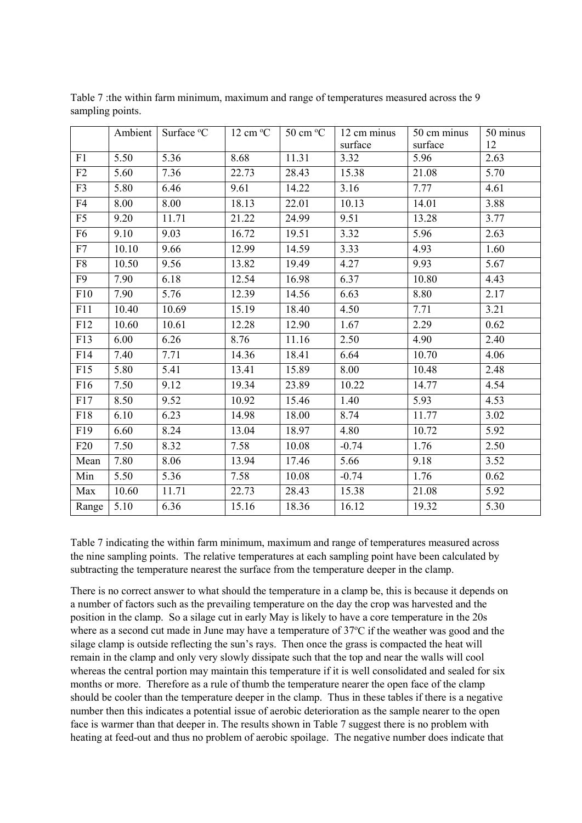|                 | Ambient | Surface °C | $12 \text{ cm} \text{°C}$ | $50 \text{ cm} \degree C$ | 12 cm minus | 50 cm minus | 50 minus |
|-----------------|---------|------------|---------------------------|---------------------------|-------------|-------------|----------|
|                 |         |            |                           |                           | surface     | surface     | 12       |
| F1              | 5.50    | 5.36       | 8.68                      | 11.31                     | 3.32        | 5.96        | 2.63     |
| F2              | 5.60    | 7.36       | 22.73                     | 28.43                     | 15.38       | 21.08       | 5.70     |
| F <sub>3</sub>  | 5.80    | 6.46       | 9.61                      | 14.22                     | 3.16        | 7.77        | 4.61     |
| F4              | 8.00    | 8.00       | 18.13                     | 22.01                     | 10.13       | 14.01       | 3.88     |
| F5              | 9.20    | 11.71      | 21.22                     | 24.99                     | 9.51        | 13.28       | 3.77     |
| F <sub>6</sub>  | 9.10    | 9.03       | 16.72                     | 19.51                     | 3.32        | 5.96        | 2.63     |
| F7              | 10.10   | 9.66       | 12.99                     | 14.59                     | 3.33        | 4.93        | 1.60     |
| F <sub>8</sub>  | 10.50   | 9.56       | 13.82                     | 19.49                     | 4.27        | 9.93        | 5.67     |
| F9              | 7.90    | 6.18       | 12.54                     | 16.98                     | 6.37        | 10.80       | 4.43     |
| F10             | 7.90    | 5.76       | 12.39                     | 14.56                     | 6.63        | 8.80        | 2.17     |
| F11             | 10.40   | 10.69      | 15.19                     | 18.40                     | 4.50        | 7.71        | 3.21     |
| F12             | 10.60   | 10.61      | 12.28                     | 12.90                     | 1.67        | 2.29        | 0.62     |
| F13             | 6.00    | 6.26       | 8.76                      | 11.16                     | 2.50        | 4.90        | 2.40     |
| F14             | 7.40    | 7.71       | 14.36                     | 18.41                     | 6.64        | 10.70       | 4.06     |
| F15             | 5.80    | 5.41       | 13.41                     | 15.89                     | 8.00        | 10.48       | 2.48     |
| F16             | 7.50    | 9.12       | 19.34                     | 23.89                     | 10.22       | 14.77       | 4.54     |
| F17             | 8.50    | 9.52       | 10.92                     | 15.46                     | 1.40        | 5.93        | 4.53     |
| F18             | 6.10    | 6.23       | 14.98                     | 18.00                     | 8.74        | 11.77       | 3.02     |
| F19             | 6.60    | 8.24       | 13.04                     | 18.97                     | 4.80        | 10.72       | 5.92     |
| F <sub>20</sub> | 7.50    | 8.32       | 7.58                      | 10.08                     | $-0.74$     | 1.76        | 2.50     |
| Mean            | 7.80    | 8.06       | 13.94                     | 17.46                     | 5.66        | 9.18        | 3.52     |
| Min             | 5.50    | 5.36       | 7.58                      | 10.08                     | $-0.74$     | 1.76        | 0.62     |
| Max             | 10.60   | 11.71      | 22.73                     | 28.43                     | 15.38       | 21.08       | 5.92     |
| Range           | 5.10    | 6.36       | 15.16                     | 18.36                     | 16.12       | 19.32       | 5.30     |

Table 7 :the within farm minimum, maximum and range of temperatures measured across the 9 sampling points.

Table 7 indicating the within farm minimum, maximum and range of temperatures measured across the nine sampling points. The relative temperatures at each sampling point have been calculated by subtracting the temperature nearest the surface from the temperature deeper in the clamp.

There is no correct answer to what should the temperature in a clamp be, this is because it depends on a number of factors such as the prevailing temperature on the day the crop was harvested and the position in the clamp. So a silage cut in early May is likely to have a core temperature in the 20s where as a second cut made in June may have a temperature of 37°C if the weather was good and the silage clamp is outside reflecting the sun's rays. Then once the grass is compacted the heat will remain in the clamp and only very slowly dissipate such that the top and near the walls will cool whereas the central portion may maintain this temperature if it is well consolidated and sealed for six months or more. Therefore as a rule of thumb the temperature nearer the open face of the clamp should be cooler than the temperature deeper in the clamp. Thus in these tables if there is a negative number then this indicates a potential issue of aerobic deterioration as the sample nearer to the open face is warmer than that deeper in. The results shown in Table 7 suggest there is no problem with heating at feed-out and thus no problem of aerobic spoilage. The negative number does indicate that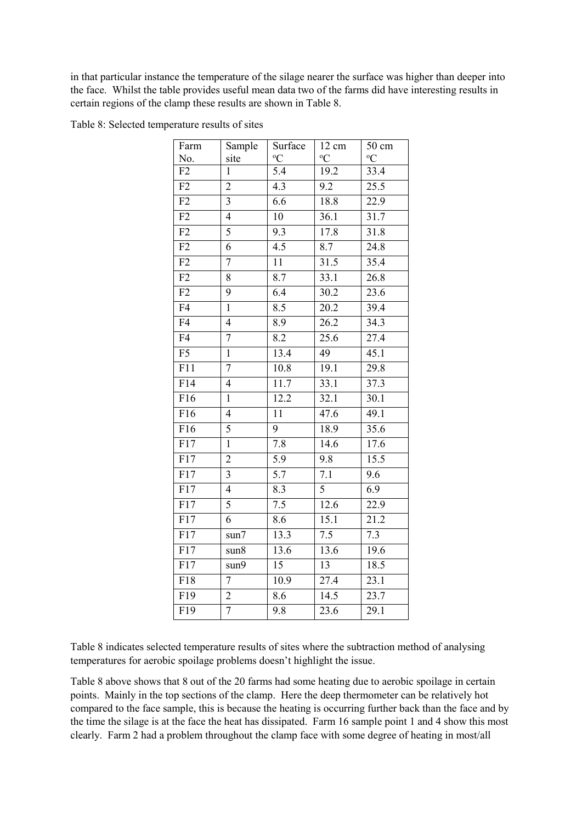in that particular instance the temperature of the silage nearer the surface was higher than deeper into the face. Whilst the table provides useful mean data two of the farms did have interesting results in certain regions of the clamp these results are shown in Table 8.

| Farm             | Sample                  | Surface          | 12 cm             | $50 \text{ cm}$ |
|------------------|-------------------------|------------------|-------------------|-----------------|
| No.              | site                    | $\rm ^{o}C$      | $\rm ^{o}C$       | $\rm ^{o}C$     |
| F2               | $\mathbf{1}$            | $\overline{5.4}$ | 19.2              | 33.4            |
| F2               | $\overline{2}$          | 4.3              | 9.2               | 25.5            |
| F2               | 3                       | 6.6              | 18.8              | 22.9            |
| $\overline{F2}$  | $\overline{4}$          | 10               | 36.1              | 31.7            |
| F2               | 5                       | 9.3              | 17.8              | 31.8            |
| F2               | $\overline{6}$          | $\overline{4.5}$ | $\overline{8.7}$  | 24.8            |
| F2               | $\overline{7}$          | 11               | 31.5              | 35.4            |
| F2               | 8                       | $\overline{8.7}$ | 33.1              | 26.8            |
| F2               | 9                       | 6.4              | 30.2              | 23.6            |
| $\overline{F4}$  | $\overline{1}$          | 8.5              | 20.2              | 39.4            |
| F <sub>4</sub>   | $\overline{4}$          | 8.9              | 26.2              | 34.3            |
| $\overline{F4}$  | $\overline{7}$          | 8.2              | $\overline{25.6}$ | 27.4            |
| F <sub>5</sub>   | $\mathbf{1}$            | 13.4             | 49                | 45.1            |
| F11              | $\overline{7}$          | 10.8             | 19.1              | 29.8            |
| F14              | $\overline{\mathbf{4}}$ | 11.7             | 33.1              | 37.3            |
| F16              | $\mathbf{1}$            | 12.2             | 32.1              | 30.1            |
| F16              | $\overline{4}$          | 11               | 47.6              | 49.1            |
| F16              | 5                       | 9                | 18.9              | 35.6            |
| F17              | $\mathbf{1}$            | 7.8              | 14.6              | 17.6            |
| $\overline{F17}$ | $\overline{2}$          | $\overline{5.9}$ | 9.8               | 15.5            |
| F17              | 3                       | 5.7              | 7.1               | 9.6             |
| $\overline{F17}$ | $\overline{4}$          | $\overline{8.3}$ | $\overline{5}$    | 6.9             |
| $\overline{F17}$ | $\overline{5}$          | 7.5              | 12.6              | 22.9            |
| F17              | 6                       | 8.6              | $\overline{15.1}$ | 21.2            |
| F17              | sun7                    | 13.3             | $\overline{7.5}$  | 7.3             |
| F17              | sun8                    | 13.6             | 13.6              | 19.6            |
| $\overline{F}17$ | sun9                    | $\overline{15}$  | 13                | 18.5            |
| F18              | $\tau$                  | 10.9             | 27.4              | 23.1            |
| $\overline{F19}$ | $\overline{2}$          | 8.6              | 14.5              | 23.7            |
| $\overline{F19}$ | $\overline{7}$          | 9.8              | 23.6              | 29.1            |

Table 8: Selected temperature results of sites

Table 8 indicates selected temperature results of sites where the subtraction method of analysing temperatures for aerobic spoilage problems doesn't highlight the issue.

Table 8 above shows that 8 out of the 20 farms had some heating due to aerobic spoilage in certain points. Mainly in the top sections of the clamp. Here the deep thermometer can be relatively hot compared to the face sample, this is because the heating is occurring further back than the face and by the time the silage is at the face the heat has dissipated. Farm 16 sample point 1 and 4 show this most clearly. Farm 2 had a problem throughout the clamp face with some degree of heating in most/all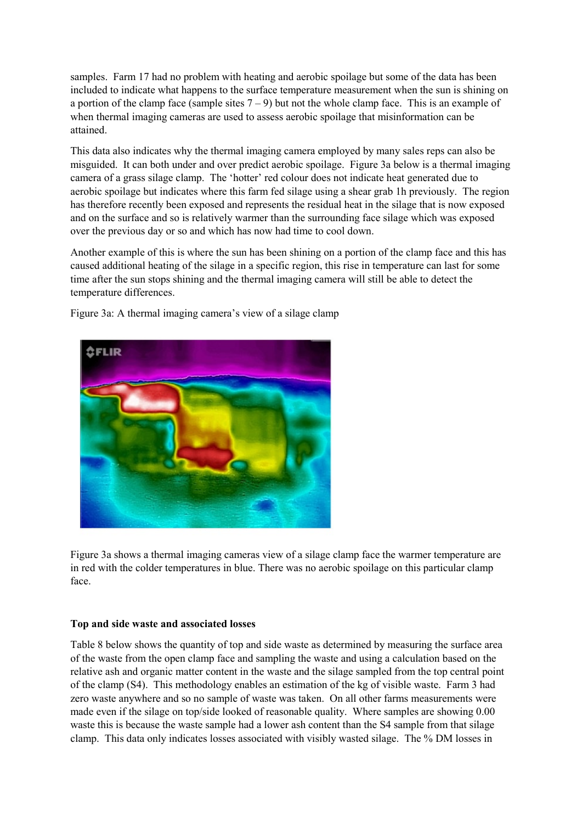samples. Farm 17 had no problem with heating and aerobic spoilage but some of the data has been included to indicate what happens to the surface temperature measurement when the sun is shining on a portion of the clamp face (sample sites  $7 - 9$ ) but not the whole clamp face. This is an example of when thermal imaging cameras are used to assess aerobic spoilage that misinformation can be attained.

This data also indicates why the thermal imaging camera employed by many sales reps can also be misguided. It can both under and over predict aerobic spoilage. Figure 3a below is a thermal imaging camera of a grass silage clamp. The 'hotter' red colour does not indicate heat generated due to aerobic spoilage but indicates where this farm fed silage using a shear grab 1h previously. The region has therefore recently been exposed and represents the residual heat in the silage that is now exposed and on the surface and so is relatively warmer than the surrounding face silage which was exposed over the previous day or so and which has now had time to cool down.

Another example of this is where the sun has been shining on a portion of the clamp face and this has caused additional heating of the silage in a specific region, this rise in temperature can last for some time after the sun stops shining and the thermal imaging camera will still be able to detect the temperature differences.



Figure 3a: A thermal imaging camera's view of a silage clamp

Figure 3a shows a thermal imaging cameras view of a silage clamp face the warmer temperature are in red with the colder temperatures in blue. There was no aerobic spoilage on this particular clamp face.

#### **Top and side waste and associated losses**

Table 8 below shows the quantity of top and side waste as determined by measuring the surface area of the waste from the open clamp face and sampling the waste and using a calculation based on the relative ash and organic matter content in the waste and the silage sampled from the top central point of the clamp (S4). This methodology enables an estimation of the kg of visible waste. Farm 3 had zero waste anywhere and so no sample of waste was taken. On all other farms measurements were made even if the silage on top/side looked of reasonable quality. Where samples are showing 0.00 waste this is because the waste sample had a lower ash content than the S4 sample from that silage clamp. This data only indicates losses associated with visibly wasted silage. The % DM losses in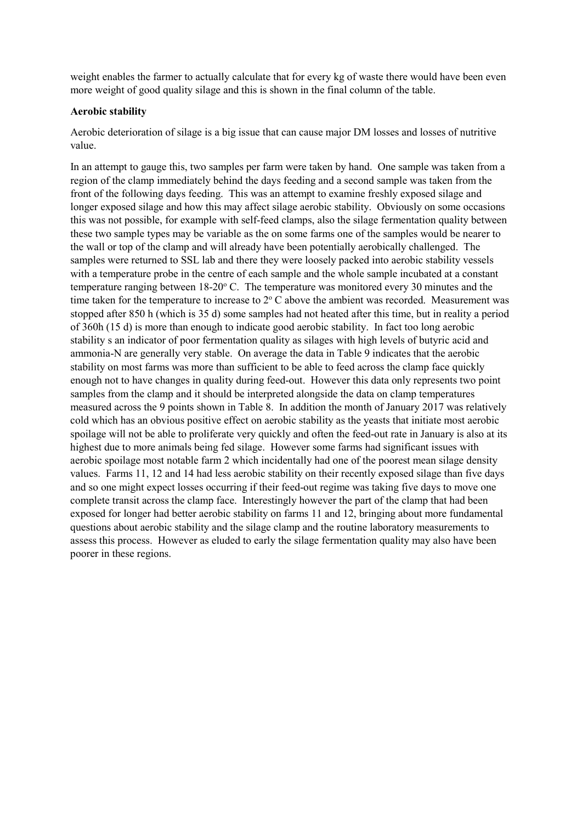weight enables the farmer to actually calculate that for every kg of waste there would have been even more weight of good quality silage and this is shown in the final column of the table.

#### **Aerobic stability**

Aerobic deterioration of silage is a big issue that can cause major DM losses and losses of nutritive value.

In an attempt to gauge this, two samples per farm were taken by hand. One sample was taken from a region of the clamp immediately behind the days feeding and a second sample was taken from the front of the following days feeding. This was an attempt to examine freshly exposed silage and longer exposed silage and how this may affect silage aerobic stability. Obviously on some occasions this was not possible, for example with self-feed clamps, also the silage fermentation quality between these two sample types may be variable as the on some farms one of the samples would be nearer to the wall or top of the clamp and will already have been potentially aerobically challenged. The samples were returned to SSL lab and there they were loosely packed into aerobic stability vessels with a temperature probe in the centre of each sample and the whole sample incubated at a constant temperature ranging between  $18{\text -}20^{\circ}$  C. The temperature was monitored every 30 minutes and the time taken for the temperature to increase to  $2^{\circ}$  C above the ambient was recorded. Measurement was stopped after 850 h (which is 35 d) some samples had not heated after this time, but in reality a period of 360h (15 d) is more than enough to indicate good aerobic stability. In fact too long aerobic stability s an indicator of poor fermentation quality as silages with high levels of butyric acid and ammonia-N are generally very stable. On average the data in Table 9 indicates that the aerobic stability on most farms was more than sufficient to be able to feed across the clamp face quickly enough not to have changes in quality during feed-out. However this data only represents two point samples from the clamp and it should be interpreted alongside the data on clamp temperatures measured across the 9 points shown in Table 8. In addition the month of January 2017 was relatively cold which has an obvious positive effect on aerobic stability as the yeasts that initiate most aerobic spoilage will not be able to proliferate very quickly and often the feed-out rate in January is also at its highest due to more animals being fed silage. However some farms had significant issues with aerobic spoilage most notable farm 2 which incidentally had one of the poorest mean silage density values. Farms 11, 12 and 14 had less aerobic stability on their recently exposed silage than five days and so one might expect losses occurring if their feed-out regime was taking five days to move one complete transit across the clamp face. Interestingly however the part of the clamp that had been exposed for longer had better aerobic stability on farms 11 and 12, bringing about more fundamental questions about aerobic stability and the silage clamp and the routine laboratory measurements to assess this process. However as eluded to early the silage fermentation quality may also have been poorer in these regions.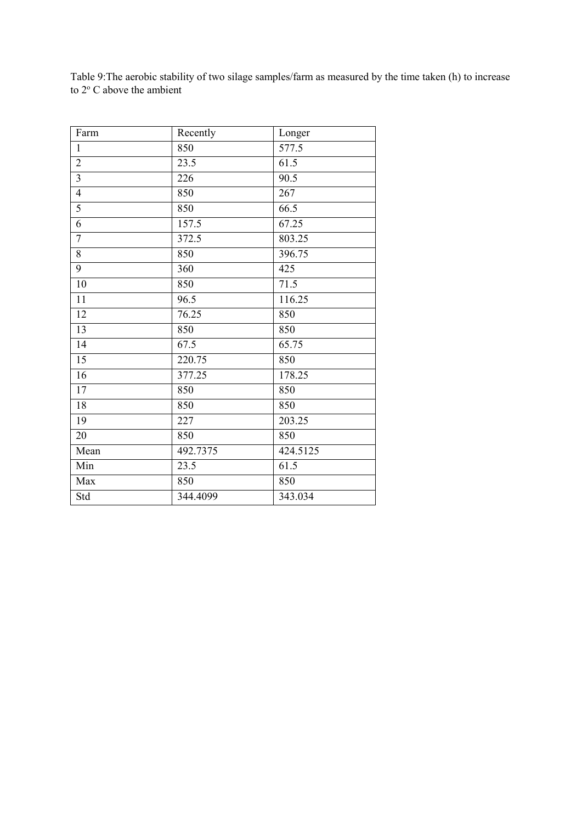Table 9:The aerobic stability of two silage samples/farm as measured by the time taken (h) to increase to  $2^{\circ}$  C above the ambient

| Farm                    | Recently | Longer   |
|-------------------------|----------|----------|
| $\mathbf{1}$            | 850      | 577.5    |
| $\sqrt{2}$              | 23.5     | 61.5     |
| $\overline{\mathbf{3}}$ | 226      | 90.5     |
| $\overline{4}$          | 850      | 267      |
| 5                       | 850      | 66.5     |
| $\overline{6}$          | 157.5    | 67.25    |
| $\boldsymbol{7}$        | 372.5    | 803.25   |
| 8                       | 850      | 396.75   |
| 9                       | 360      | 425      |
| 10                      | 850      | 71.5     |
| 11                      | 96.5     | 116.25   |
| 12                      | 76.25    | 850      |
| 13                      | 850      | 850      |
| 14                      | 67.5     | 65.75    |
| 15                      | 220.75   | 850      |
| 16                      | 377.25   | 178.25   |
| 17                      | 850      | 850      |
| 18                      | 850      | 850      |
| 19                      | 227      | 203.25   |
| $20\,$                  | 850      | 850      |
| Mean                    | 492.7375 | 424.5125 |
| Min                     | 23.5     | 61.5     |
| Max                     | 850      | 850      |
| Std                     | 344.4099 | 343.034  |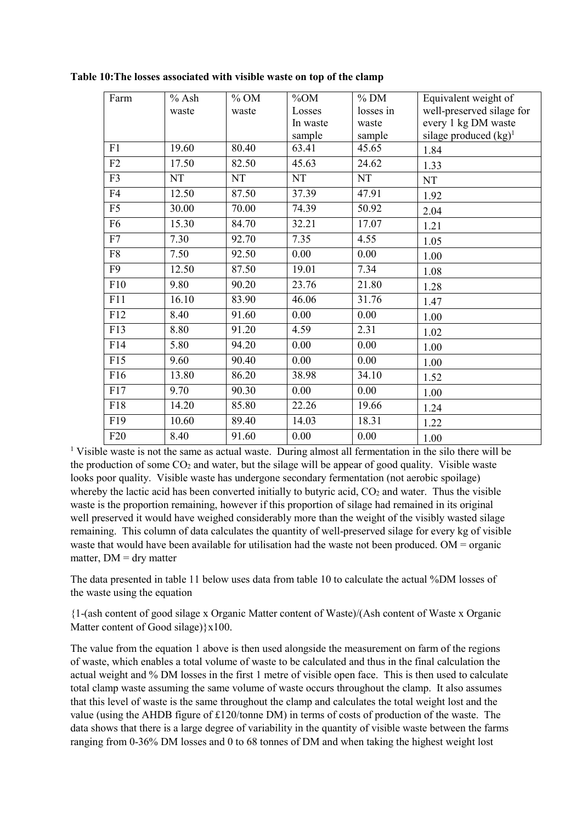| Farm            | $%$ Ash   | $%$ OM | $\%$ OM   | $%$ DM    | Equivalent weight of      |
|-----------------|-----------|--------|-----------|-----------|---------------------------|
|                 | waste     | waste  | Losses    | losses in | well-preserved silage for |
|                 |           |        | In waste  | waste     | every 1 kg DM waste       |
|                 |           |        | sample    | sample    | silage produced $(kg)^1$  |
| F1              | 19.60     | 80.40  | 63.41     | 45.65     | 1.84                      |
| F2              | 17.50     | 82.50  | 45.63     | 24.62     | 1.33                      |
| F <sub>3</sub>  | <b>NT</b> | NT     | <b>NT</b> | NT        | NT                        |
| F <sub>4</sub>  | 12.50     | 87.50  | 37.39     | 47.91     | 1.92                      |
| F <sub>5</sub>  | 30.00     | 70.00  | 74.39     | 50.92     | 2.04                      |
| F <sub>6</sub>  | 15.30     | 84.70  | 32.21     | 17.07     | 1.21                      |
| F7              | 7.30      | 92.70  | 7.35      | 4.55      | 1.05                      |
| ${\rm F}8$      | 7.50      | 92.50  | 0.00      | 0.00      | 1.00                      |
| F <sub>9</sub>  | 12.50     | 87.50  | 19.01     | 7.34      | 1.08                      |
| F10             | 9.80      | 90.20  | 23.76     | 21.80     | 1.28                      |
| F11             | 16.10     | 83.90  | 46.06     | 31.76     | 1.47                      |
| F12             | 8.40      | 91.60  | $0.00\,$  | 0.00      | 1.00                      |
| F13             | 8.80      | 91.20  | 4.59      | 2.31      | 1.02                      |
| F14             | 5.80      | 94.20  | 0.00      | 0.00      | 1.00                      |
| F15             | 9.60      | 90.40  | 0.00      | 0.00      | 1.00                      |
| F16             | 13.80     | 86.20  | 38.98     | 34.10     | 1.52                      |
| F17             | 9.70      | 90.30  | $0.00\,$  | 0.00      | 1.00                      |
| F18             | 14.20     | 85.80  | 22.26     | 19.66     | 1.24                      |
| F19             | 10.60     | 89.40  | 14.03     | 18.31     | 1.22                      |
| F <sub>20</sub> | 8.40      | 91.60  | $0.00\,$  | 0.00      | 1.00                      |

**Table 10:The losses associated with visible waste on top of the clamp**

<sup>1</sup> Visible waste is not the same as actual waste. During almost all fermentation in the silo there will be the production of some  $CO<sub>2</sub>$  and water, but the silage will be appear of good quality. Visible waste looks poor quality. Visible waste has undergone secondary fermentation (not aerobic spoilage) whereby the lactic acid has been converted initially to butyric acid,  $CO<sub>2</sub>$  and water. Thus the visible waste is the proportion remaining, however if this proportion of silage had remained in its original well preserved it would have weighed considerably more than the weight of the visibly wasted silage remaining. This column of data calculates the quantity of well-preserved silage for every kg of visible waste that would have been available for utilisation had the waste not been produced. OM = organic matter,  $DM = dry$  matter

The data presented in table 11 below uses data from table 10 to calculate the actual %DM losses of the waste using the equation

{1-(ash content of good silage x Organic Matter content of Waste)/(Ash content of Waste x Organic Matter content of Good silage) \times 100.

The value from the equation 1 above is then used alongside the measurement on farm of the regions of waste, which enables a total volume of waste to be calculated and thus in the final calculation the actual weight and % DM losses in the first 1 metre of visible open face. This is then used to calculate total clamp waste assuming the same volume of waste occurs throughout the clamp. It also assumes that this level of waste is the same throughout the clamp and calculates the total weight lost and the value (using the AHDB figure of £120/tonne DM) in terms of costs of production of the waste. The data shows that there is a large degree of variability in the quantity of visible waste between the farms ranging from 0-36% DM losses and 0 to 68 tonnes of DM and when taking the highest weight lost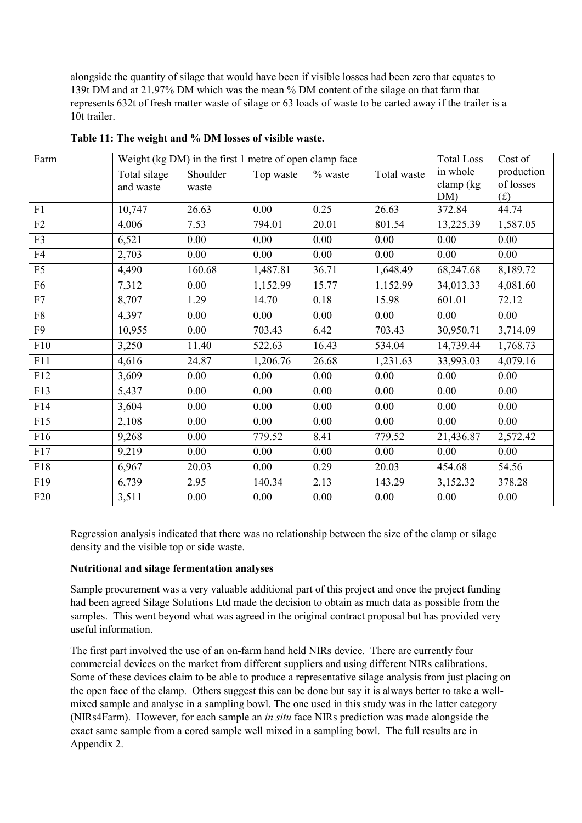alongside the quantity of silage that would have been if visible losses had been zero that equates to 139t DM and at 21.97% DM which was the mean % DM content of the silage on that farm that represents 632t of fresh matter waste of silage or 63 loads of waste to be carted away if the trailer is a 10t trailer.

| Farm            | Weight (kg DM) in the first 1 metre of open clamp face | <b>Total Loss</b> | Cost of   |           |             |              |            |
|-----------------|--------------------------------------------------------|-------------------|-----------|-----------|-------------|--------------|------------|
|                 | Total silage                                           | Shoulder          | Top waste | $%$ waste | Total waste | in whole     | production |
|                 | and waste                                              | waste             |           |           |             | clamp $(kg)$ | of losses  |
|                 |                                                        |                   |           |           |             | DM)          | (f)        |
| F1              | 10,747                                                 | 26.63             | 0.00      | 0.25      | 26.63       | 372.84       | 44.74      |
| F2              | 4,006                                                  | 7.53              | 794.01    | 20.01     | 801.54      | 13,225.39    | 1,587.05   |
| F3              | 6,521                                                  | 0.00              | 0.00      | 0.00      | 0.00        | 0.00         | 0.00       |
| F <sub>4</sub>  | 2,703                                                  | 0.00              | 0.00      | 0.00      | 0.00        | 0.00         | 0.00       |
| F <sub>5</sub>  | 4,490                                                  | 160.68            | 1,487.81  | 36.71     | 1,648.49    | 68,247.68    | 8,189.72   |
| F <sub>6</sub>  | 7,312                                                  | 0.00              | 1,152.99  | 15.77     | 1,152.99    | 34,013.33    | 4,081.60   |
| F7              | 8,707                                                  | 1.29              | 14.70     | 0.18      | 15.98       | 601.01       | 72.12      |
| ${\rm F}8$      | 4,397                                                  | 0.00              | 0.00      | 0.00      | 0.00        | 0.00         | 0.00       |
| F <sub>9</sub>  | 10,955                                                 | 0.00              | 703.43    | 6.42      | 703.43      | 30,950.71    | 3,714.09   |
| F10             | 3,250                                                  | 11.40             | 522.63    | 16.43     | 534.04      | 14,739.44    | 1,768.73   |
| F11             | 4,616                                                  | 24.87             | 1,206.76  | 26.68     | 1,231.63    | 33,993.03    | 4,079.16   |
| F12             | 3,609                                                  | 0.00              | 0.00      | 0.00      | $0.00\,$    | 0.00         | 0.00       |
| F13             | 5,437                                                  | 0.00              | 0.00      | 0.00      | 0.00        | 0.00         | 0.00       |
| F14             | 3,604                                                  | 0.00              | 0.00      | 0.00      | 0.00        | 0.00         | 0.00       |
| F15             | 2,108                                                  | 0.00              | 0.00      | 0.00      | 0.00        | 0.00         | 0.00       |
| F16             | 9,268                                                  | 0.00              | 779.52    | 8.41      | 779.52      | 21,436.87    | 2,572.42   |
| F17             | 9,219                                                  | 0.00              | 0.00      | 0.00      | 0.00        | 0.00         | 0.00       |
| F18             | 6,967                                                  | 20.03             | 0.00      | 0.29      | 20.03       | 454.68       | 54.56      |
| F19             | 6,739                                                  | 2.95              | 140.34    | 2.13      | 143.29      | 3,152.32     | 378.28     |
| F <sub>20</sub> | 3,511                                                  | 0.00              | 0.00      | 0.00      | 0.00        | 0.00         | 0.00       |

**Table 11: The weight and % DM losses of visible waste.**

Regression analysis indicated that there was no relationship between the size of the clamp or silage density and the visible top or side waste.

# **Nutritional and silage fermentation analyses**

Sample procurement was a very valuable additional part of this project and once the project funding had been agreed Silage Solutions Ltd made the decision to obtain as much data as possible from the samples. This went beyond what was agreed in the original contract proposal but has provided very useful information.

The first part involved the use of an on-farm hand held NIRs device. There are currently four commercial devices on the market from different suppliers and using different NIRs calibrations. Some of these devices claim to be able to produce a representative silage analysis from just placing on the open face of the clamp. Others suggest this can be done but say it is always better to take a wellmixed sample and analyse in a sampling bowl. The one used in this study was in the latter category (NIRs4Farm). However, for each sample an *in situ* face NIRs prediction was made alongside the exact same sample from a cored sample well mixed in a sampling bowl. The full results are in Appendix 2.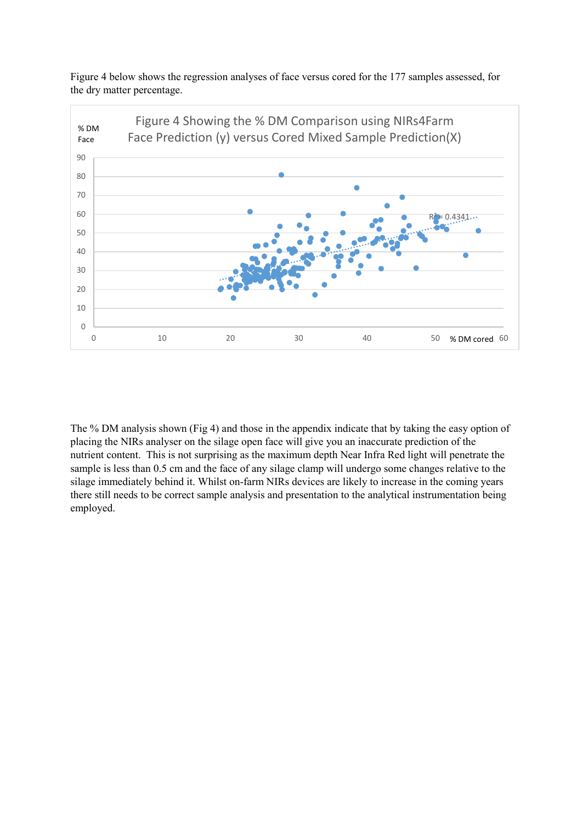Figure 4 below shows the regression analyses of face versus cored for the 177 samples assessed, for the dry matter percentage.



The % DM analysis shown (Fig 4) and those in the appendix indicate that by taking the easy option of placing the NIRs analyser on the silage open face will give you an inaccurate prediction of the nutrient content. This is not surprising as the maximum depth Near Infra Red light will penetrate the sample is less than 0.5 cm and the face of any silage clamp will undergo some changes relative to the silage immediately behind it. Whilst on-farm NIRs devices are likely to increase in the coming years there still needs to be correct sample analysis and presentation to the analytical instrumentation being employed.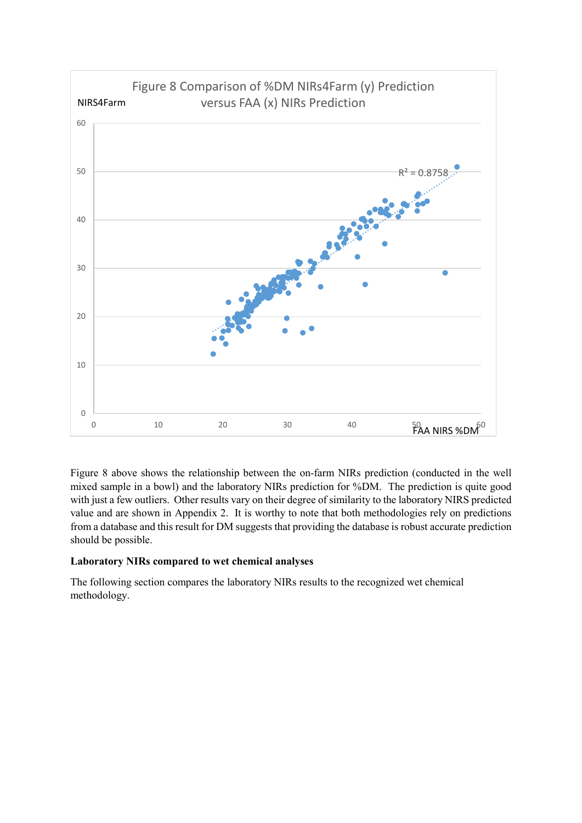

Figure 8 above shows the relationship between the on-farm NIRs prediction (conducted in the well mixed sample in a bowl) and the laboratory NIRs prediction for %DM. The prediction is quite good with just a few outliers. Other results vary on their degree of similarity to the laboratory NIRS predicted value and are shown in Appendix 2. It is worthy to note that both methodologies rely on predictions from a database and this result for DM suggests that providing the database is robust accurate prediction should be possible.

# **Laboratory NIRs compared to wet chemical analyses**

The following section compares the laboratory NIRs results to the recognized wet chemical methodology.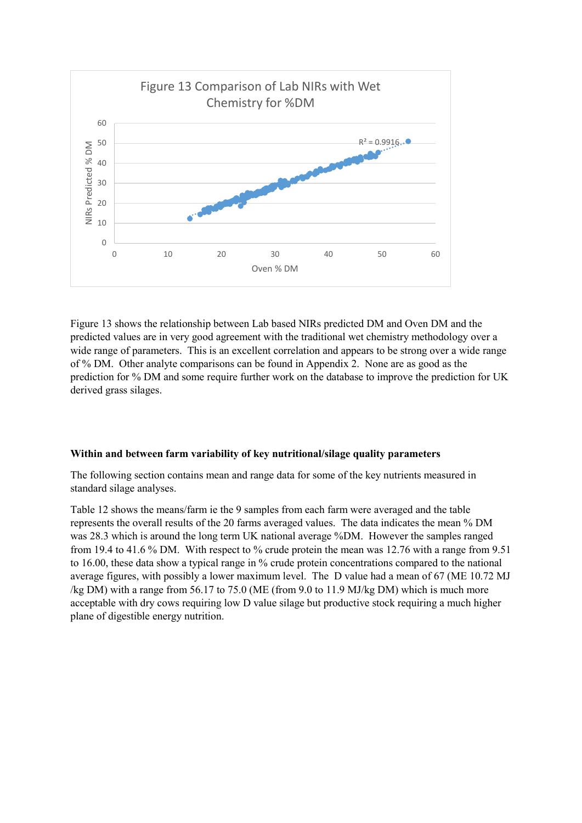

Figure 13 shows the relationship between Lab based NIRs predicted DM and Oven DM and the predicted values are in very good agreement with the traditional wet chemistry methodology over a wide range of parameters. This is an excellent correlation and appears to be strong over a wide range of % DM. Other analyte comparisons can be found in Appendix 2. None are as good as the prediction for % DM and some require further work on the database to improve the prediction for UK derived grass silages.

#### **Within and between farm variability of key nutritional/silage quality parameters**

The following section contains mean and range data for some of the key nutrients measured in standard silage analyses.

Table 12 shows the means/farm ie the 9 samples from each farm were averaged and the table represents the overall results of the 20 farms averaged values. The data indicates the mean % DM was 28.3 which is around the long term UK national average %DM. However the samples ranged from 19.4 to 41.6 % DM. With respect to % crude protein the mean was 12.76 with a range from 9.51 to 16.00, these data show a typical range in % crude protein concentrations compared to the national average figures, with possibly a lower maximum level. The D value had a mean of 67 (ME 10.72 MJ /kg DM) with a range from 56.17 to 75.0 (ME (from 9.0 to 11.9 MJ/kg DM) which is much more acceptable with dry cows requiring low D value silage but productive stock requiring a much higher plane of digestible energy nutrition.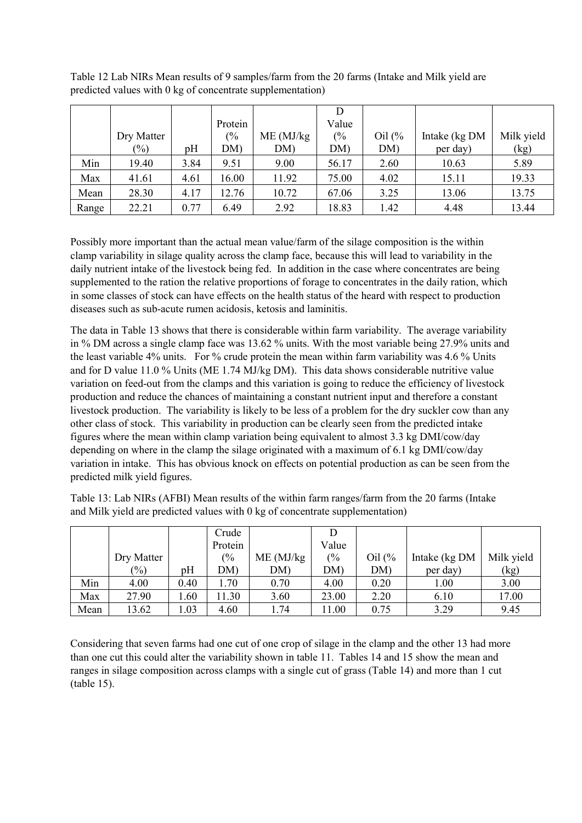|       | Dry Matter |      | Protein<br>$\frac{0}{6}$ | ME (MJ/kg) | Value<br>(% | Oil $\frac{6}{6}$ | Intake (kg DM | Milk yield |
|-------|------------|------|--------------------------|------------|-------------|-------------------|---------------|------------|
|       | $(\%)$     | pH   | DM)                      | DM)        | DM)         | DM)               | per day)      | (kg)       |
| Min   | 19.40      | 3.84 | 9.51                     | 9.00       | 56.17       | 2.60              | 10.63         | 5.89       |
| Max   | 41.61      | 4.61 | 16.00                    | 11.92      | 75.00       | 4.02              | 15.11         | 19.33      |
| Mean  | 28.30      | 4.17 | 12.76                    | 10.72      | 67.06       | 3.25              | 13.06         | 13.75      |
| Range | 22.21      | 0.77 | 6.49                     | 2.92       | 18.83       | 1.42              | 4.48          | 13.44      |

Table 12 Lab NIRs Mean results of 9 samples/farm from the 20 farms (Intake and Milk yield are predicted values with 0 kg of concentrate supplementation)

Possibly more important than the actual mean value/farm of the silage composition is the within clamp variability in silage quality across the clamp face, because this will lead to variability in the daily nutrient intake of the livestock being fed. In addition in the case where concentrates are being supplemented to the ration the relative proportions of forage to concentrates in the daily ration, which in some classes of stock can have effects on the health status of the heard with respect to production diseases such as sub-acute rumen acidosis, ketosis and laminitis.

The data in Table 13 shows that there is considerable within farm variability. The average variability in % DM across a single clamp face was 13.62 % units. With the most variable being 27.9% units and the least variable 4% units. For % crude protein the mean within farm variability was 4.6 % Units and for D value 11.0 % Units (ME 1.74 MJ/kg DM). This data shows considerable nutritive value variation on feed-out from the clamps and this variation is going to reduce the efficiency of livestock production and reduce the chances of maintaining a constant nutrient input and therefore a constant livestock production. The variability is likely to be less of a problem for the dry suckler cow than any other class of stock. This variability in production can be clearly seen from the predicted intake figures where the mean within clamp variation being equivalent to almost 3.3 kg DMI/cow/day depending on where in the clamp the silage originated with a maximum of 6.1 kg DMI/cow/day variation in intake. This has obvious knock on effects on potential production as can be seen from the predicted milk yield figures.

Table 13: Lab NIRs (AFBI) Mean results of the within farm ranges/farm from the 20 farms (Intake and Milk yield are predicted values with 0 kg of concentrate supplementation)

|      |            |      | Crude   |            |       |                                |               |            |
|------|------------|------|---------|------------|-------|--------------------------------|---------------|------------|
|      |            |      | Protein |            | Value |                                |               |            |
|      | Dry Matter |      | (9/0)   | ME (MJ/kg) | (%    | Oil $\left(\frac{9}{6}\right)$ | Intake (kg DM | Milk yield |
|      | (%)        | pH   | DM)     | DM)        | DM)   | DM)                            | per day)      | (kg)       |
| Min  | 4.00       | 0.40 | .70     | 0.70       | 4.00  | 0.20                           | 1.00          | 3.00       |
| Max  | 27.90      | .60  | 11.30   | 3.60       | 23.00 | 2.20                           | 6.10          | 17.00      |
| Mean | 13.62      | .03  | 4.60    | 1.74       | 1.00  | 0.75                           | 3.29          | 9.45       |

Considering that seven farms had one cut of one crop of silage in the clamp and the other 13 had more than one cut this could alter the variability shown in table 11. Tables 14 and 15 show the mean and ranges in silage composition across clamps with a single cut of grass (Table 14) and more than 1 cut (table 15).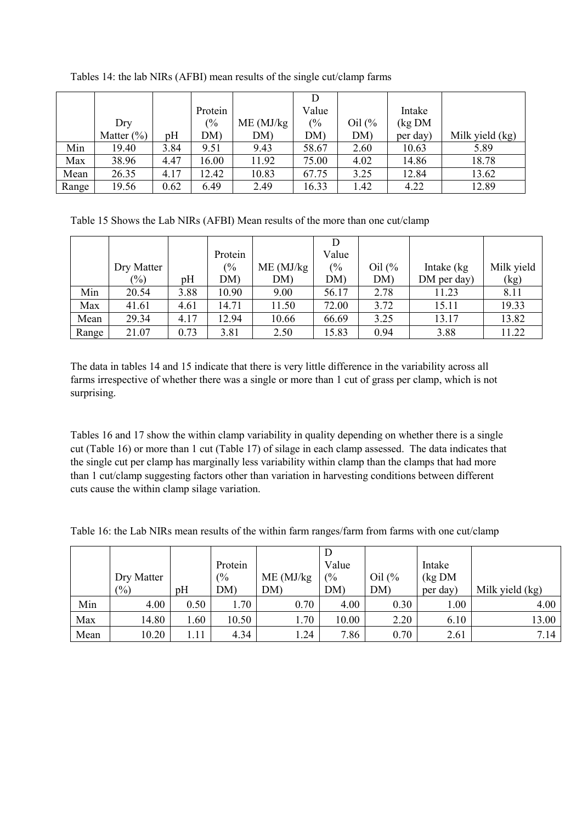|       |                |      | Protein       |            | Value         |                   | Intake    |                 |
|-------|----------------|------|---------------|------------|---------------|-------------------|-----------|-----------------|
|       | Dry            |      | $\frac{0}{6}$ | ME (MJ/kg) | $\frac{0}{6}$ | Oil $\frac{6}{6}$ | $\log DM$ |                 |
|       | Matter $(\% )$ | pH   | DM)           | DM)        | DM)           | DM)               | per day)  | Milk yield (kg) |
| Min   | 19.40          | 3.84 | 9.51          | 9.43       | 58.67         | 2.60              | 10.63     | 5.89            |
| Max   | 38.96          | 4.47 | 16.00         | 11.92      | 75.00         | 4.02              | 14.86     | 18.78           |
| Mean  | 26.35          | 4.17 | 12.42         | 10.83      | 67.75         | 3.25              | 12.84     | 13.62           |
| Range | 19.56          | 0.62 | 6.49          | 2.49       | 16.33         | 1.42              | 4.22      | 12.89           |

Tables 14: the lab NIRs (AFBI) mean results of the single cut/clamp farms

Table 15 Shows the Lab NIRs (AFBI) Mean results of the more than one cut/clamp

|       |            |      | Protein       |            | Value |                   |             |            |
|-------|------------|------|---------------|------------|-------|-------------------|-------------|------------|
|       | Dry Matter |      | $\frac{0}{6}$ | ME (MJ/kg) | (%    | Oil $\frac{6}{6}$ | Intake (kg  | Milk yield |
|       | $(\%)$     | pH   | DM)           | DM)        | DM)   | DM)               | DM per day) | (kg)       |
| Min   | 20.54      | 3.88 | 10.90         | 9.00       | 56.17 | 2.78              | 11.23       | 8.11       |
| Max   | 41.61      | 4.61 | 14.71         | 11.50      | 72.00 | 3.72              | 15.11       | 19.33      |
| Mean  | 29.34      | 4.17 | 12.94         | 10.66      | 66.69 | 3.25              | 13.17       | 13.82      |
| Range | 21.07      | 0.73 | 3.81          | 2.50       | 15.83 | 0.94              | 3.88        | 11.22      |

The data in tables 14 and 15 indicate that there is very little difference in the variability across all farms irrespective of whether there was a single or more than 1 cut of grass per clamp, which is not surprising.

Tables 16 and 17 show the within clamp variability in quality depending on whether there is a single cut (Table 16) or more than 1 cut (Table 17) of silage in each clamp assessed. The data indicates that the single cut per clamp has marginally less variability within clamp than the clamps that had more than 1 cut/clamp suggesting factors other than variation in harvesting conditions between different cuts cause the within clamp silage variation.

Table 16: the Lab NIRs mean results of the within farm ranges/farm from farms with one cut/clamp

|      |                |      | Protein |            | Value |          | Intake    |                 |
|------|----------------|------|---------|------------|-------|----------|-----------|-----------------|
|      | Dry Matter     |      | (%      | ME (MJ/kg) | (%    | Oil $(%$ | $\log DM$ |                 |
|      | $\binom{0}{0}$ | pH   | DM)     | <b>DM</b>  | DM)   | DM)      | per day)  | Milk yield (kg) |
| Min  | 4.00           | 0.50 | 1.70    | 0.70       | 4.00  | 0.30     | 1.00      | 4.00            |
| Max  | 14.80          | 1.60 | 10.50   | 1.70       | 10.00 | 2.20     | 6.10      | 13.00           |
| Mean | 10.20          | 1.11 | 4.34    | .24        | 7.86  | 0.70     | 2.61      | 7.14            |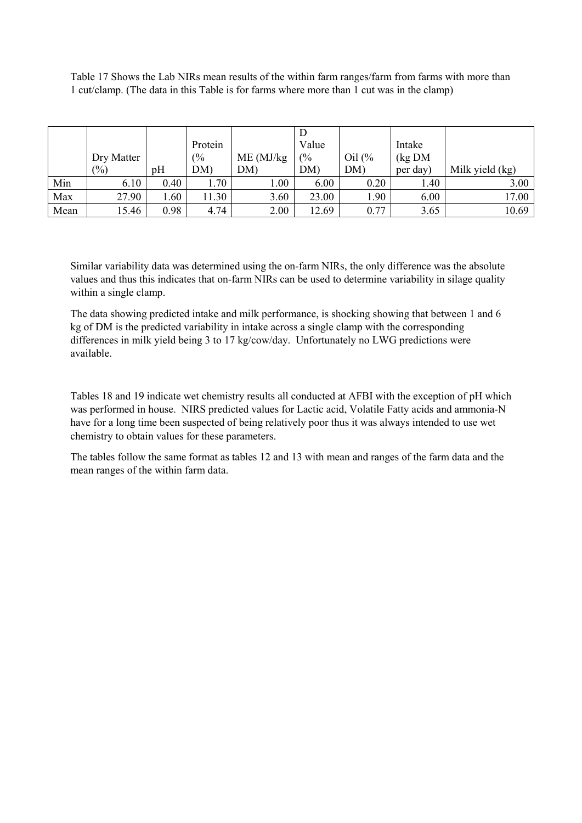Table 17 Shows the Lab NIRs mean results of the within farm ranges/farm from farms with more than 1 cut/clamp. (The data in this Table is for farms where more than 1 cut was in the clamp)

|      |                 |      | Protein |             | Value |                                | Intake   |                 |
|------|-----------------|------|---------|-------------|-------|--------------------------------|----------|-----------------|
|      | Dry Matter      |      | (%      | $ME$ (MJ/kg | (%    | Oil $\left(\frac{9}{6}\right)$ | (kg DM)  |                 |
|      | $\frac{(0)}{0}$ | pH   | DM)     | DM)         | DM)   | DM)                            | per day) | Milk yield (kg) |
| Min  | 6.10            | 0.40 | 1.70    | 00.1        | 6.00  | 0.20                           | 1.40     | 3.00            |
| Max  | 27.90           | 1.60 | 11.30   | 3.60        | 23.00 | 1.90                           | 6.00     | 17.00           |
| Mean | 15.46           | 0.98 | 4.74    | 2.00        | 12.69 | 0.77                           | 3.65     | 10.69           |

Similar variability data was determined using the on-farm NIRs, the only difference was the absolute values and thus this indicates that on-farm NIRs can be used to determine variability in silage quality within a single clamp.

The data showing predicted intake and milk performance, is shocking showing that between 1 and 6 kg of DM is the predicted variability in intake across a single clamp with the corresponding differences in milk yield being 3 to 17 kg/cow/day. Unfortunately no LWG predictions were available.

Tables 18 and 19 indicate wet chemistry results all conducted at AFBI with the exception of pH which was performed in house. NIRS predicted values for Lactic acid, Volatile Fatty acids and ammonia-N have for a long time been suspected of being relatively poor thus it was always intended to use wet chemistry to obtain values for these parameters.

The tables follow the same format as tables 12 and 13 with mean and ranges of the farm data and the mean ranges of the within farm data.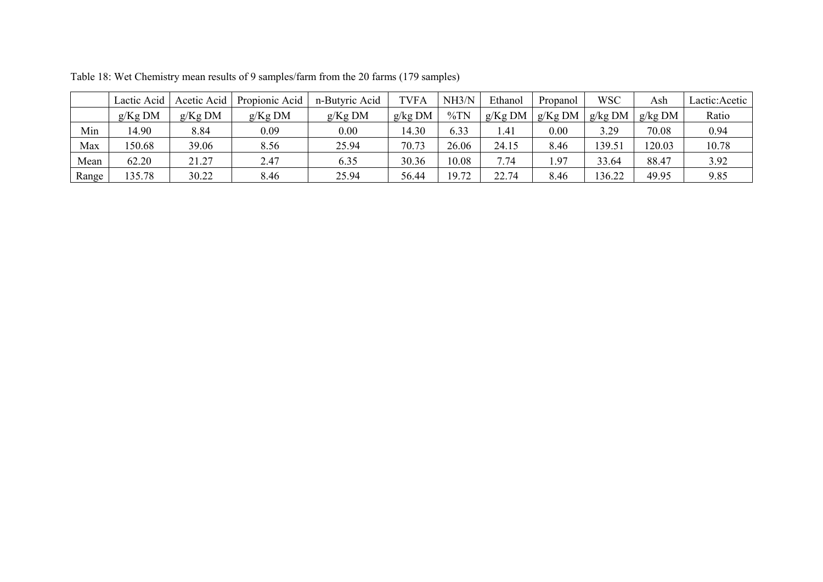|       | Lactic Acid | Acetic Acid | Propionic Acid | n-Butyric Acid | TVFA    | NH3/N  | Ethanol   | Propanol  | <b>WSC</b> | Ash     | Lactic:Acetic |
|-------|-------------|-------------|----------------|----------------|---------|--------|-----------|-----------|------------|---------|---------------|
|       | $g/Kg$ DM   | $g/Kg$ DM   | $g/Kg$ DM      | $g/Kg$ DM      | g/kg DM | $\%TN$ | $g/Kg$ DM | $g/Kg$ DM | g/kg DM    | g/kg DM | Ratio         |
| Min   | 14.90       | 8.84        | 0.09           | 0.00           | 4.30    | 6.33   | 1.41      | 0.00      | 3.29       | 70.08   | 0.94          |
| Max   | 50.68       | 39.06       | 8.56           | 25.94          | 70.73   | 26.06  | 24.15     | 8.46      | 139.51     | 120.03  | 10.78         |
| Mean  | 62.20       | 21.27       | 2.47           | 6.35           | 30.36   | 10.08  | 7.74      | 1.97      | 33.64      | 88.47   | 3.92          |
| Range | 35.78       | 30.22       | 8.46           | 25.94          | 56.44   | 19.72  | 22.74     | 8.46      | 136.22     | 49.95   | 9.85          |

Table 18: Wet Chemistry mean results of 9 samples/farm from the 20 farms (179 samples)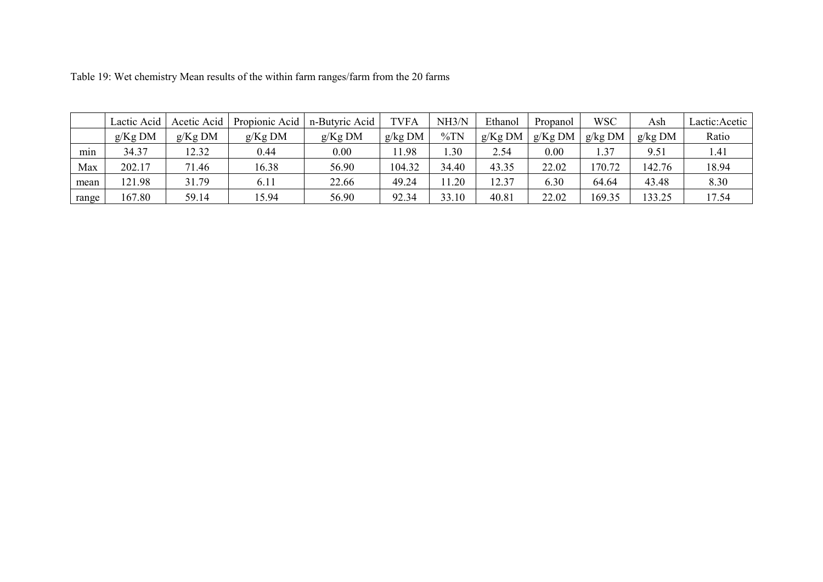|       | Lactic Acid | Acetic Acid | Propionic Acid | n-Butyric Acid | TVFA    | NH3/N  | Ethanol   | Propanol  | <b>WSC</b> | Ash     | Lactic: Acetic |
|-------|-------------|-------------|----------------|----------------|---------|--------|-----------|-----------|------------|---------|----------------|
|       | $g/Kg$ DM   | $g/Kg$ DM   | $g/Kg$ DM      | $g/Kg$ DM      | g/kg DM | $\%TN$ | $g/Kg$ DM | $g/Kg$ DM | g/kg DM    | g/kg DM | Ratio          |
| min   | 34.37       | 12.32       | 0.44           | 0.00           | .1.98   | .30    | 2.54      | 0.00      | 1.37       | 9.51    | 1.41           |
| Max   | 202.17      | 71.46       | 16.38          | 56.90          | 104.32  | 34.40  | 43.35     | 22.02     | 70.72      | 142.76  | 18.94          |
| mean  | 121.98      | 31.79       | 6.11           | 22.66          | 49.24   | 1.20   | 12.37     | 6.30      | 64.64      | 43.48   | 8.30           |
| range | 167.80      | 59.14       | 5.94           | 56.90          | 92.34   | 33.10  | 40.81     | 22.02     | 169.35     | 133.25  | 17.54          |

Table 19: Wet chemistry Mean results of the within farm ranges/farm from the 20 farms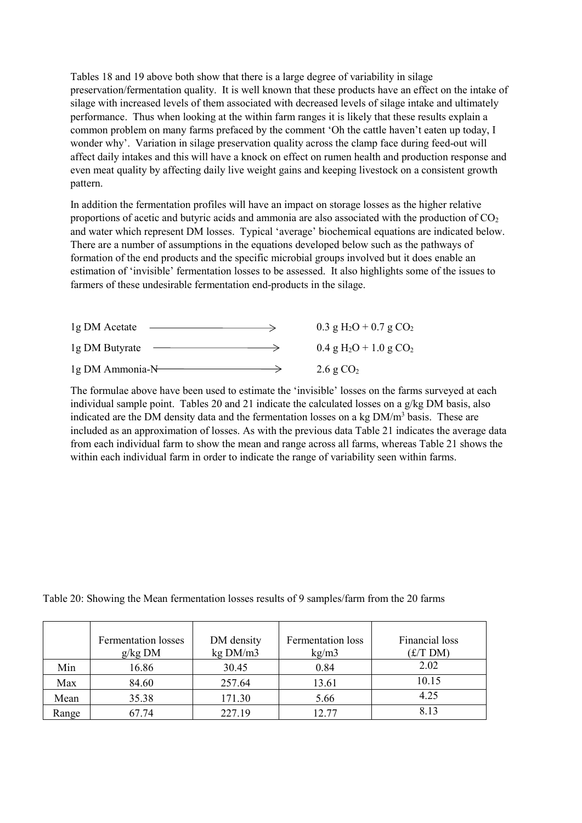Tables 18 and 19 above both show that there is a large degree of variability in silage preservation/fermentation quality. It is well known that these products have an effect on the intake of silage with increased levels of them associated with decreased levels of silage intake and ultimately performance. Thus when looking at the within farm ranges it is likely that these results explain a common problem on many farms prefaced by the comment 'Oh the cattle haven't eaten up today, I wonder why'. Variation in silage preservation quality across the clamp face during feed-out will affect daily intakes and this will have a knock on effect on rumen health and production response and even meat quality by affecting daily live weight gains and keeping livestock on a consistent growth pattern.

In addition the fermentation profiles will have an impact on storage losses as the higher relative proportions of acetic and butyric acids and ammonia are also associated with the production of  $CO<sub>2</sub>$ and water which represent DM losses. Typical 'average' biochemical equations are indicated below. There are a number of assumptions in the equations developed below such as the pathways of formation of the end products and the specific microbial groups involved but it does enable an estimation of 'invisible' fermentation losses to be assessed. It also highlights some of the issues to farmers of these undesirable fermentation end-products in the silage.

| 1g DM Acetate     | 0.3 g H <sub>2</sub> O + 0.7 g CO <sub>2</sub>   |
|-------------------|--------------------------------------------------|
| 1g DM Butyrate    | $0.4 \text{ g H}_2\text{O} + 1.0 \text{ g CO}_2$ |
| $1g$ DM Ammonia-N | 2.6 g $CO2$                                      |

The formulae above have been used to estimate the 'invisible' losses on the farms surveyed at each individual sample point. Tables 20 and 21 indicate the calculated losses on a  $g/kg$  DM basis, also indicated are the DM density data and the fermentation losses on a kg DM/m<sup>3</sup> basis. These are included as an approximation of losses. As with the previous data Table 21 indicates the average data from each individual farm to show the mean and range across all farms, whereas Table 21 shows the within each individual farm in order to indicate the range of variability seen within farms.

| Table 20: Showing the Mean fermentation losses results of 9 samples/farm from the 20 farms |  |  |  |
|--------------------------------------------------------------------------------------------|--|--|--|
|                                                                                            |  |  |  |

|       | <b>Fermentation losses</b><br>g/kg DM | DM density<br>kg DM/m3 | <b>Fermentation</b> loss<br>kg/m3 | Financial loss<br>f(TDM) |
|-------|---------------------------------------|------------------------|-----------------------------------|--------------------------|
| Min   | 16.86                                 | 30.45                  | 0.84                              | 2.02                     |
| Max   | 84.60                                 | 257.64                 | 13.61                             | 10.15                    |
| Mean  | 35.38                                 | 171.30                 | 5.66                              | 4.25                     |
| Range | 67.74                                 | 227.19                 | 12.77                             | 8.13                     |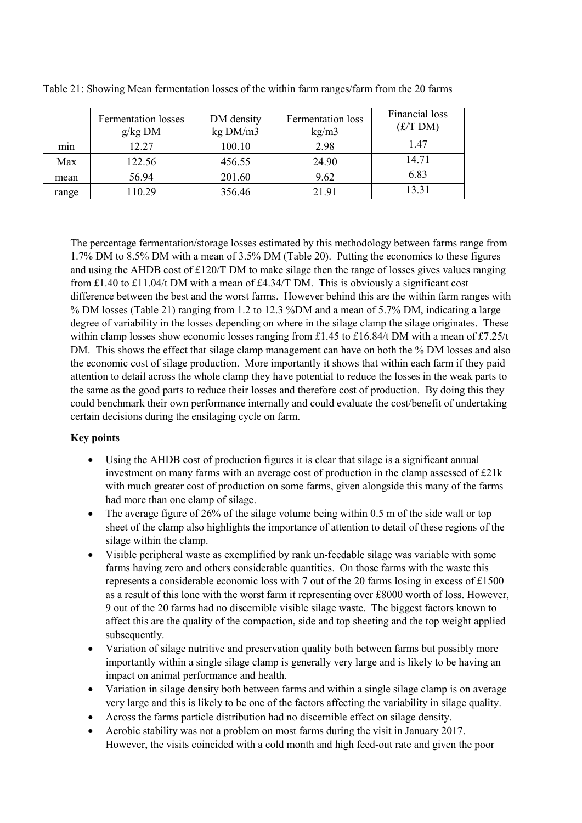|       | <b>Fermentation</b> losses<br>$g/kg$ DM | DM density<br>kg DM/m3 | Fermentation loss<br>kg/m3 | Financial loss<br>(E/T DM) |
|-------|-----------------------------------------|------------------------|----------------------------|----------------------------|
| min   | 12.27                                   | 100.10                 | 2.98                       | 1.47                       |
| Max   | 122.56                                  | 456.55                 | 24.90                      | 14.71                      |
| mean  | 56.94                                   | 201.60                 | 9.62                       | 6.83                       |
| range | 110.29                                  | 356.46                 | 21.91                      | 13.31                      |

Table 21: Showing Mean fermentation losses of the within farm ranges/farm from the 20 farms

The percentage fermentation/storage losses estimated by this methodology between farms range from 1.7% DM to 8.5% DM with a mean of 3.5% DM (Table 20). Putting the economics to these figures and using the AHDB cost of £120/T DM to make silage then the range of losses gives values ranging from £1.40 to £11.04/t DM with a mean of £4.34/T DM. This is obviously a significant cost difference between the best and the worst farms. However behind this are the within farm ranges with % DM losses (Table 21) ranging from 1.2 to 12.3 %DM and a mean of 5.7% DM, indicating a large degree of variability in the losses depending on where in the silage clamp the silage originates. These within clamp losses show economic losses ranging from £1.45 to £16.84/t DM with a mean of £7.25/t DM. This shows the effect that silage clamp management can have on both the % DM losses and also the economic cost of silage production. More importantly it shows that within each farm if they paid attention to detail across the whole clamp they have potential to reduce the losses in the weak parts to the same as the good parts to reduce their losses and therefore cost of production. By doing this they could benchmark their own performance internally and could evaluate the cost/benefit of undertaking certain decisions during the ensilaging cycle on farm.

# **Key points**

- Using the AHDB cost of production figures it is clear that silage is a significant annual investment on many farms with an average cost of production in the clamp assessed of £21k with much greater cost of production on some farms, given alongside this many of the farms had more than one clamp of silage.
- The average figure of 26% of the silage volume being within 0.5 m of the side wall or top sheet of the clamp also highlights the importance of attention to detail of these regions of the silage within the clamp.
- Visible peripheral waste as exemplified by rank un-feedable silage was variable with some farms having zero and others considerable quantities. On those farms with the waste this represents a considerable economic loss with 7 out of the 20 farms losing in excess of £1500 as a result of this lone with the worst farm it representing over £8000 worth of loss. However, 9 out of the 20 farms had no discernible visible silage waste. The biggest factors known to affect this are the quality of the compaction, side and top sheeting and the top weight applied subsequently.
- Variation of silage nutritive and preservation quality both between farms but possibly more importantly within a single silage clamp is generally very large and is likely to be having an impact on animal performance and health.
- Variation in silage density both between farms and within a single silage clamp is on average very large and this is likely to be one of the factors affecting the variability in silage quality.
- Across the farms particle distribution had no discernible effect on silage density.
- Aerobic stability was not a problem on most farms during the visit in January 2017. However, the visits coincided with a cold month and high feed-out rate and given the poor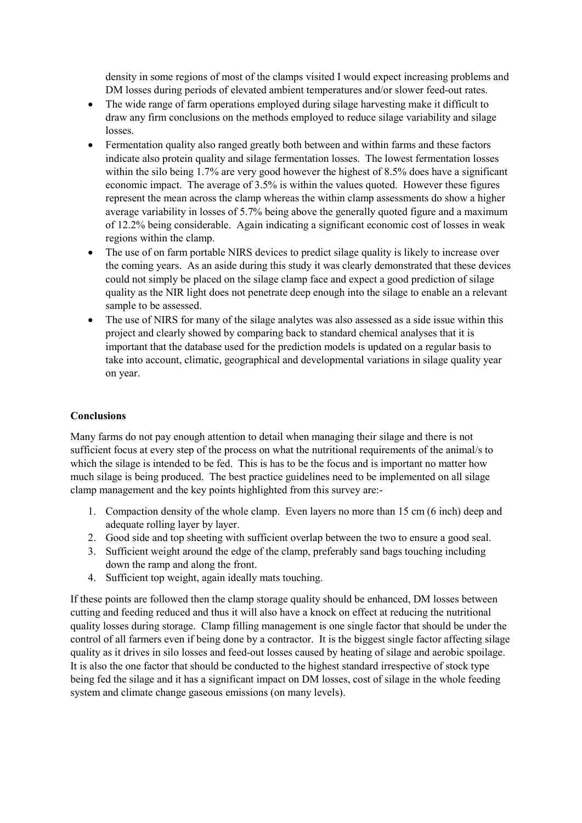density in some regions of most of the clamps visited I would expect increasing problems and DM losses during periods of elevated ambient temperatures and/or slower feed-out rates.

- The wide range of farm operations employed during silage harvesting make it difficult to draw any firm conclusions on the methods employed to reduce silage variability and silage losses.
- Fermentation quality also ranged greatly both between and within farms and these factors indicate also protein quality and silage fermentation losses. The lowest fermentation losses within the silo being 1.7% are very good however the highest of 8.5% does have a significant economic impact. The average of 3.5% is within the values quoted. However these figures represent the mean across the clamp whereas the within clamp assessments do show a higher average variability in losses of 5.7% being above the generally quoted figure and a maximum of 12.2% being considerable. Again indicating a significant economic cost of losses in weak regions within the clamp.
- The use of on farm portable NIRS devices to predict silage quality is likely to increase over the coming years. As an aside during this study it was clearly demonstrated that these devices could not simply be placed on the silage clamp face and expect a good prediction of silage quality as the NIR light does not penetrate deep enough into the silage to enable an a relevant sample to be assessed.
- The use of NIRS for many of the silage analytes was also assessed as a side issue within this project and clearly showed by comparing back to standard chemical analyses that it is important that the database used for the prediction models is updated on a regular basis to take into account, climatic, geographical and developmental variations in silage quality year on year.

# **Conclusions**

Many farms do not pay enough attention to detail when managing their silage and there is not sufficient focus at every step of the process on what the nutritional requirements of the animal/s to which the silage is intended to be fed. This is has to be the focus and is important no matter how much silage is being produced. The best practice guidelines need to be implemented on all silage clamp management and the key points highlighted from this survey are:-

- 1. Compaction density of the whole clamp. Even layers no more than 15 cm (6 inch) deep and adequate rolling layer by layer.
- 2. Good side and top sheeting with sufficient overlap between the two to ensure a good seal.
- 3. Sufficient weight around the edge of the clamp, preferably sand bags touching including down the ramp and along the front.
- 4. Sufficient top weight, again ideally mats touching.

If these points are followed then the clamp storage quality should be enhanced, DM losses between cutting and feeding reduced and thus it will also have a knock on effect at reducing the nutritional quality losses during storage. Clamp filling management is one single factor that should be under the control of all farmers even if being done by a contractor. It is the biggest single factor affecting silage quality as it drives in silo losses and feed-out losses caused by heating of silage and aerobic spoilage. It is also the one factor that should be conducted to the highest standard irrespective of stock type being fed the silage and it has a significant impact on DM losses, cost of silage in the whole feeding system and climate change gaseous emissions (on many levels).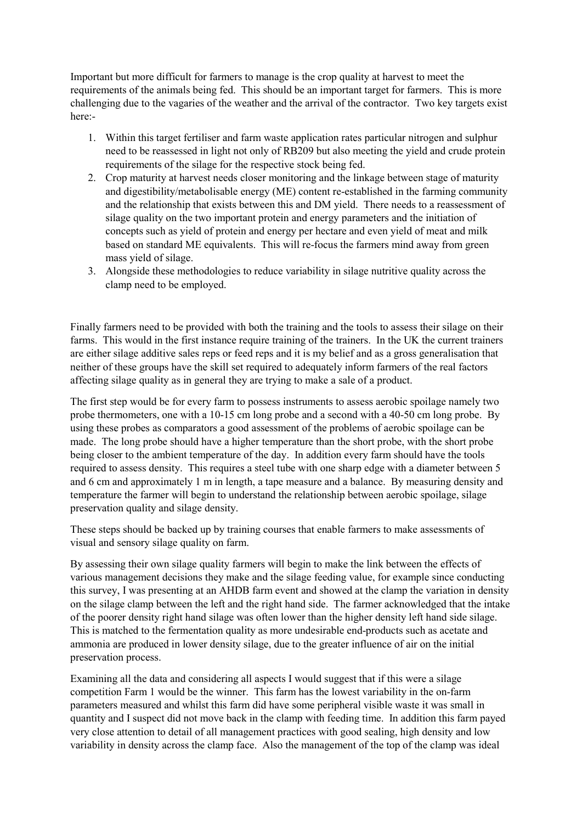Important but more difficult for farmers to manage is the crop quality at harvest to meet the requirements of the animals being fed. This should be an important target for farmers. This is more challenging due to the vagaries of the weather and the arrival of the contractor. Two key targets exist here:-

- 1. Within this target fertiliser and farm waste application rates particular nitrogen and sulphur need to be reassessed in light not only of RB209 but also meeting the yield and crude protein requirements of the silage for the respective stock being fed.
- 2. Crop maturity at harvest needs closer monitoring and the linkage between stage of maturity and digestibility/metabolisable energy (ME) content re-established in the farming community and the relationship that exists between this and DM yield. There needs to a reassessment of silage quality on the two important protein and energy parameters and the initiation of concepts such as yield of protein and energy per hectare and even yield of meat and milk based on standard ME equivalents. This will re-focus the farmers mind away from green mass yield of silage.
- 3. Alongside these methodologies to reduce variability in silage nutritive quality across the clamp need to be employed.

Finally farmers need to be provided with both the training and the tools to assess their silage on their farms. This would in the first instance require training of the trainers. In the UK the current trainers are either silage additive sales reps or feed reps and it is my belief and as a gross generalisation that neither of these groups have the skill set required to adequately inform farmers of the real factors affecting silage quality as in general they are trying to make a sale of a product.

The first step would be for every farm to possess instruments to assess aerobic spoilage namely two probe thermometers, one with a 10-15 cm long probe and a second with a 40-50 cm long probe. By using these probes as comparators a good assessment of the problems of aerobic spoilage can be made. The long probe should have a higher temperature than the short probe, with the short probe being closer to the ambient temperature of the day. In addition every farm should have the tools required to assess density. This requires a steel tube with one sharp edge with a diameter between 5 and 6 cm and approximately 1 m in length, a tape measure and a balance. By measuring density and temperature the farmer will begin to understand the relationship between aerobic spoilage, silage preservation quality and silage density.

These steps should be backed up by training courses that enable farmers to make assessments of visual and sensory silage quality on farm.

By assessing their own silage quality farmers will begin to make the link between the effects of various management decisions they make and the silage feeding value, for example since conducting this survey, I was presenting at an AHDB farm event and showed at the clamp the variation in density on the silage clamp between the left and the right hand side. The farmer acknowledged that the intake of the poorer density right hand silage was often lower than the higher density left hand side silage. This is matched to the fermentation quality as more undesirable end-products such as acetate and ammonia are produced in lower density silage, due to the greater influence of air on the initial preservation process.

Examining all the data and considering all aspects I would suggest that if this were a silage competition Farm 1 would be the winner. This farm has the lowest variability in the on-farm parameters measured and whilst this farm did have some peripheral visible waste it was small in quantity and I suspect did not move back in the clamp with feeding time. In addition this farm payed very close attention to detail of all management practices with good sealing, high density and low variability in density across the clamp face. Also the management of the top of the clamp was ideal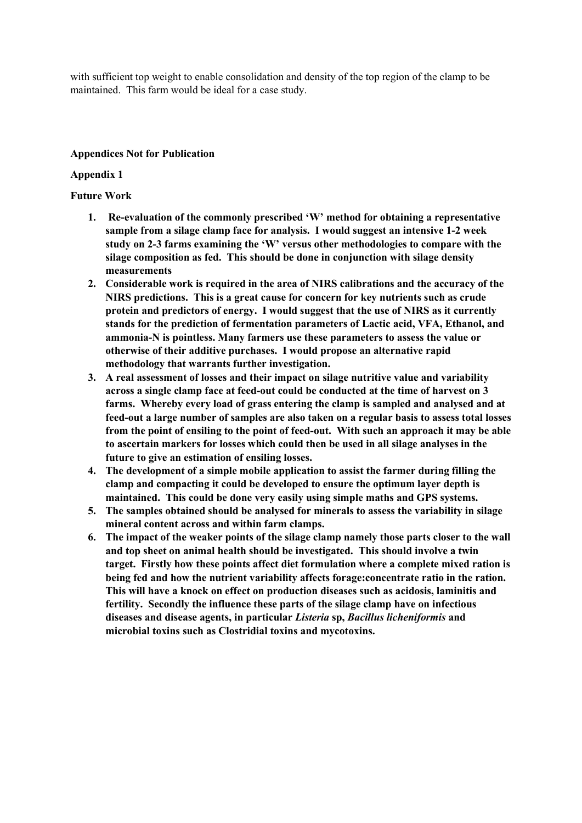with sufficient top weight to enable consolidation and density of the top region of the clamp to be maintained. This farm would be ideal for a case study.

# **Appendices Not for Publication**

# **Appendix 1**

# **Future Work**

- **1. Re-evaluation of the commonly prescribed 'W' method for obtaining a representative sample from a silage clamp face for analysis. I would suggest an intensive 1-2 week study on 2-3 farms examining the 'W' versus other methodologies to compare with the silage composition as fed. This should be done in conjunction with silage density measurements**
- **2. Considerable work is required in the area of NIRS calibrations and the accuracy of the NIRS predictions. This is a great cause for concern for key nutrients such as crude protein and predictors of energy. I would suggest that the use of NIRS as it currently stands for the prediction of fermentation parameters of Lactic acid, VFA, Ethanol, and ammonia-N is pointless. Many farmers use these parameters to assess the value or otherwise of their additive purchases. I would propose an alternative rapid methodology that warrants further investigation.**
- **3. A real assessment of losses and their impact on silage nutritive value and variability across a single clamp face at feed-out could be conducted at the time of harvest on 3 farms. Whereby every load of grass entering the clamp is sampled and analysed and at feed-out a large number of samples are also taken on a regular basis to assess total losses from the point of ensiling to the point of feed-out. With such an approach it may be able to ascertain markers for losses which could then be used in all silage analyses in the future to give an estimation of ensiling losses.**
- **4. The development of a simple mobile application to assist the farmer during filling the clamp and compacting it could be developed to ensure the optimum layer depth is maintained. This could be done very easily using simple maths and GPS systems.**
- **5. The samples obtained should be analysed for minerals to assess the variability in silage mineral content across and within farm clamps.**
- **6. The impact of the weaker points of the silage clamp namely those parts closer to the wall and top sheet on animal health should be investigated. This should involve a twin target. Firstly how these points affect diet formulation where a complete mixed ration is being fed and how the nutrient variability affects forage:concentrate ratio in the ration. This will have a knock on effect on production diseases such as acidosis, laminitis and fertility. Secondly the influence these parts of the silage clamp have on infectious diseases and disease agents, in particular** *Listeria* **sp,** *Bacillus licheniformis* **and microbial toxins such as Clostridial toxins and mycotoxins.**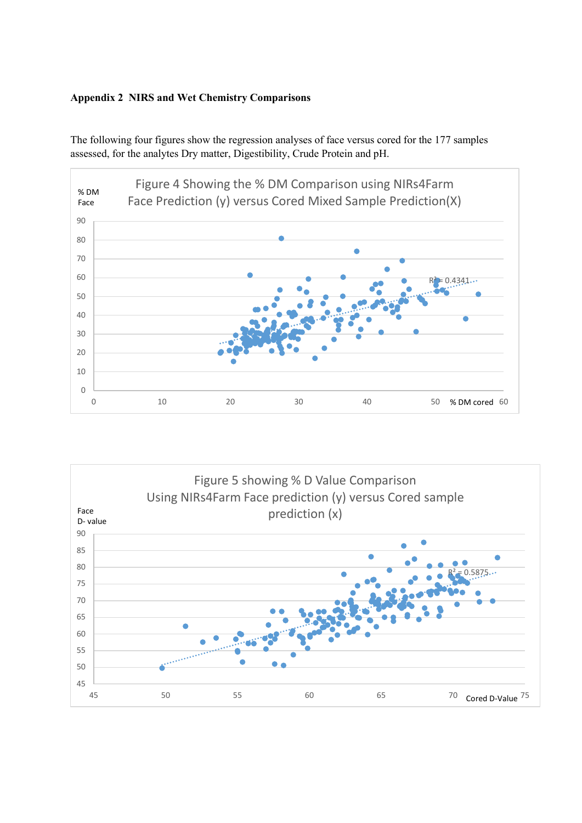# **Appendix 2 NIRS and Wet Chemistry Comparisons**



The following four figures show the regression analyses of face versus cored for the 177 samples assessed, for the analytes Dry matter, Digestibility, Crude Protein and pH.

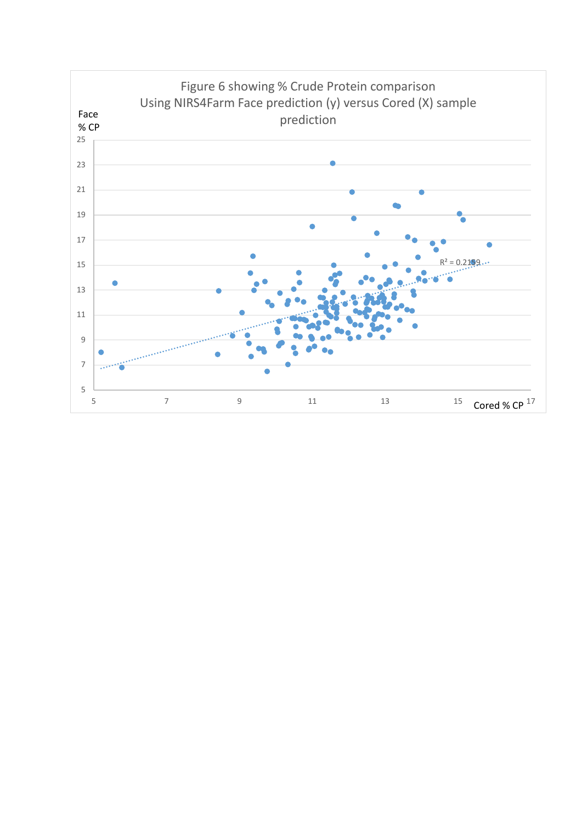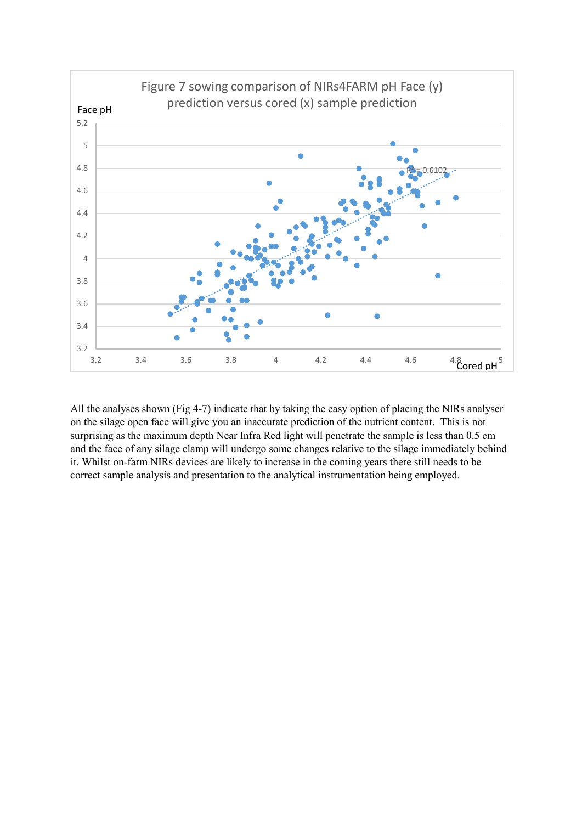

All the analyses shown (Fig 4-7) indicate that by taking the easy option of placing the NIRs analyser on the silage open face will give you an inaccurate prediction of the nutrient content. This is not surprising as the maximum depth Near Infra Red light will penetrate the sample is less than 0.5 cm and the face of any silage clamp will undergo some changes relative to the silage immediately behind it. Whilst on-farm NIRs devices are likely to increase in the coming years there still needs to be correct sample analysis and presentation to the analytical instrumentation being employed.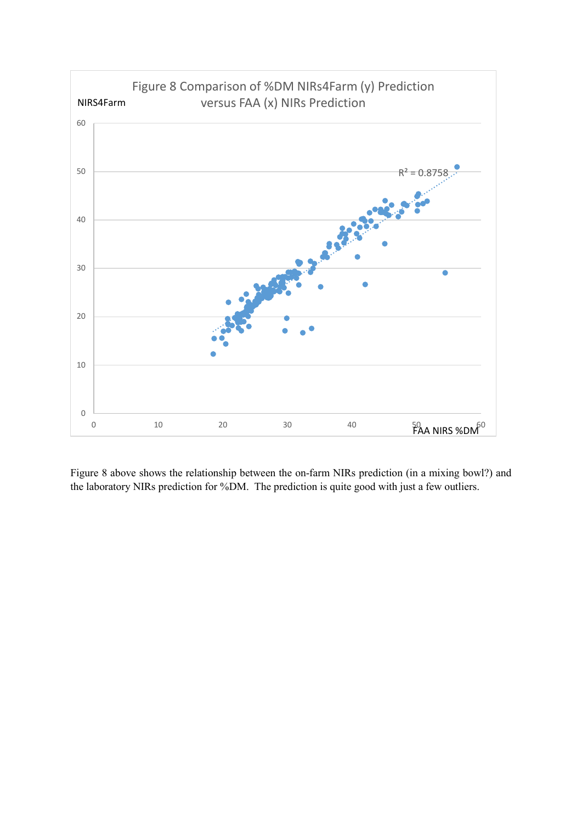

Figure 8 above shows the relationship between the on-farm NIRs prediction (in a mixing bowl?) and the laboratory NIRs prediction for %DM. The prediction is quite good with just a few outliers.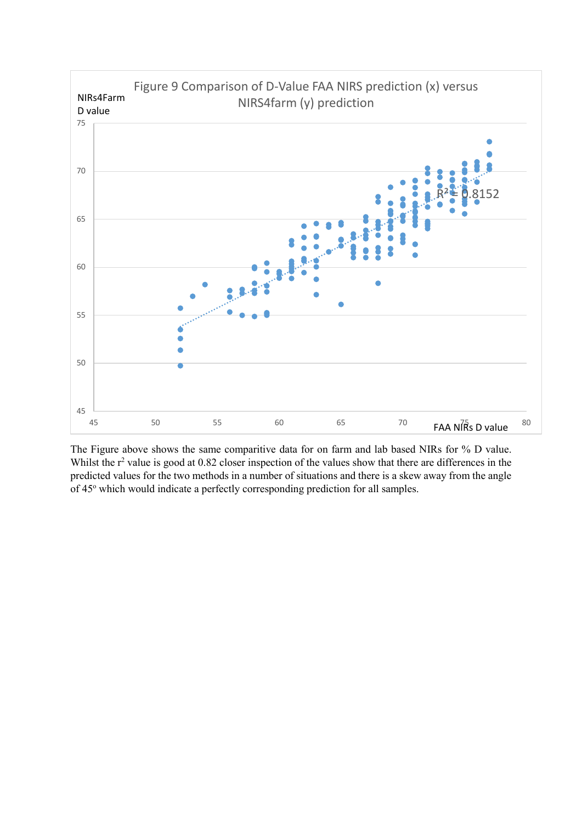

The Figure above shows the same comparitive data for on farm and lab based NIRs for % D value. Whilst the  $r^2$  value is good at 0.82 closer inspection of the values show that there are differences in the predicted values for the two methods in a number of situations and there is a skew away from the angle of 45° which would indicate a perfectly corresponding prediction for all samples.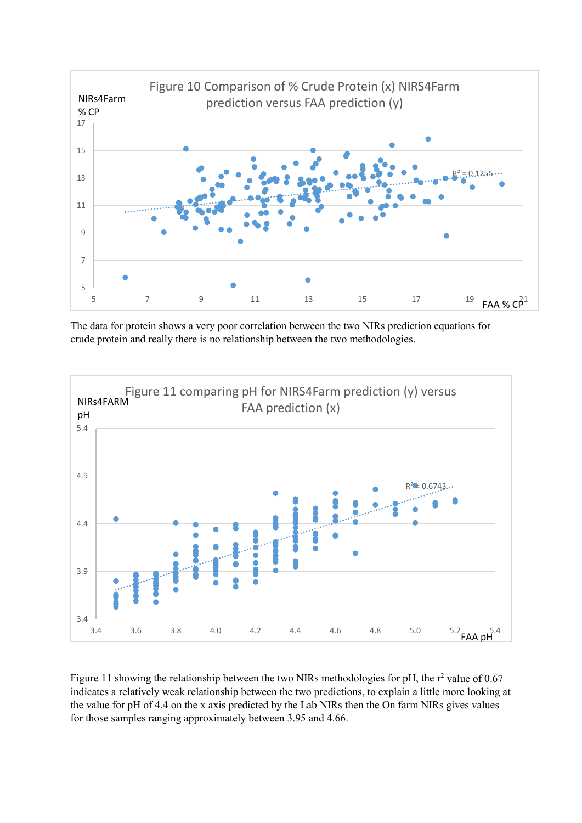

The data for protein shows a very poor correlation between the two NIRs prediction equations for crude protein and really there is no relationship between the two methodologies.



Figure 11 showing the relationship between the two NIRs methodologies for pH, the  $r^2$  value of 0.67 indicates a relatively weak relationship between the two predictions, to explain a little more looking at the value for pH of 4.4 on the x axis predicted by the Lab NIRs then the On farm NIRs gives values for those samples ranging approximately between 3.95 and 4.66.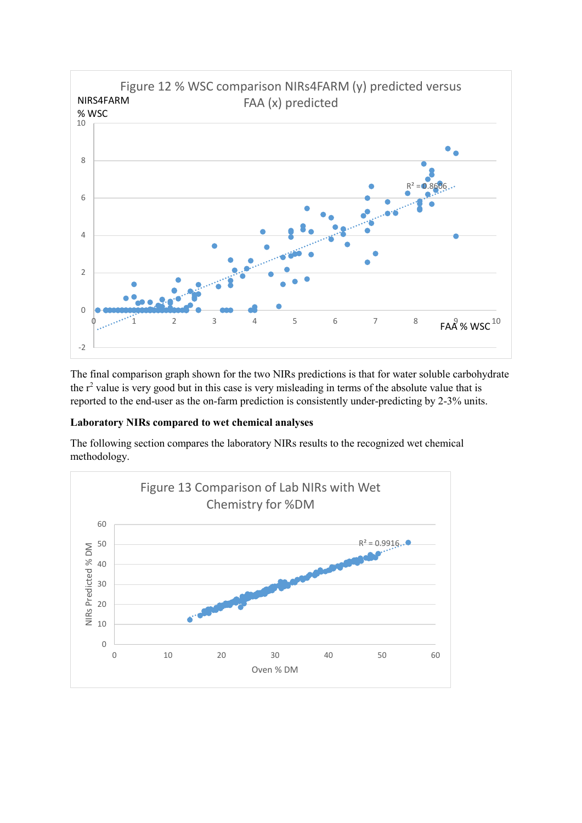

The final comparison graph shown for the two NIRs predictions is that for water soluble carbohydrate the  $r<sup>2</sup>$  value is very good but in this case is very misleading in terms of the absolute value that is reported to the end-user as the on-farm prediction is consistently under-predicting by 2-3% units.

# **Laboratory NIRs compared to wet chemical analyses**

The following section compares the laboratory NIRs results to the recognized wet chemical methodology.

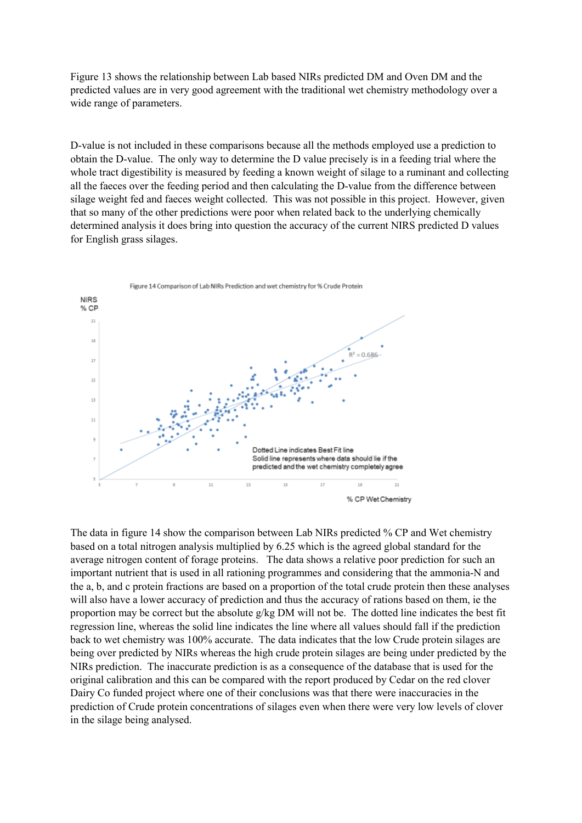Figure 13 shows the relationship between Lab based NIRs predicted DM and Oven DM and the predicted values are in very good agreement with the traditional wet chemistry methodology over a wide range of parameters.

D-value is not included in these comparisons because all the methods employed use a prediction to obtain the D-value. The only way to determine the D value precisely is in a feeding trial where the whole tract digestibility is measured by feeding a known weight of silage to a ruminant and collecting all the faeces over the feeding period and then calculating the D-value from the difference between silage weight fed and faeces weight collected. This was not possible in this project. However, given that so many of the other predictions were poor when related back to the underlying chemically determined analysis it does bring into question the accuracy of the current NIRS predicted D values for English grass silages.



The data in figure 14 show the comparison between Lab NIRs predicted % CP and Wet chemistry based on a total nitrogen analysis multiplied by 6.25 which is the agreed global standard for the average nitrogen content of forage proteins. The data shows a relative poor prediction for such an important nutrient that is used in all rationing programmes and considering that the ammonia-N and the a, b, and c protein fractions are based on a proportion of the total crude protein then these analyses will also have a lower accuracy of prediction and thus the accuracy of rations based on them, ie the proportion may be correct but the absolute  $g/kg$  DM will not be. The dotted line indicates the best fit regression line, whereas the solid line indicates the line where all values should fall if the prediction back to wet chemistry was 100% accurate. The data indicates that the low Crude protein silages are being over predicted by NIRs whereas the high crude protein silages are being under predicted by the NIRs prediction. The inaccurate prediction is as a consequence of the database that is used for the original calibration and this can be compared with the report produced by Cedar on the red clover Dairy Co funded project where one of their conclusions was that there were inaccuracies in the prediction of Crude protein concentrations of silages even when there were very low levels of clover in the silage being analysed.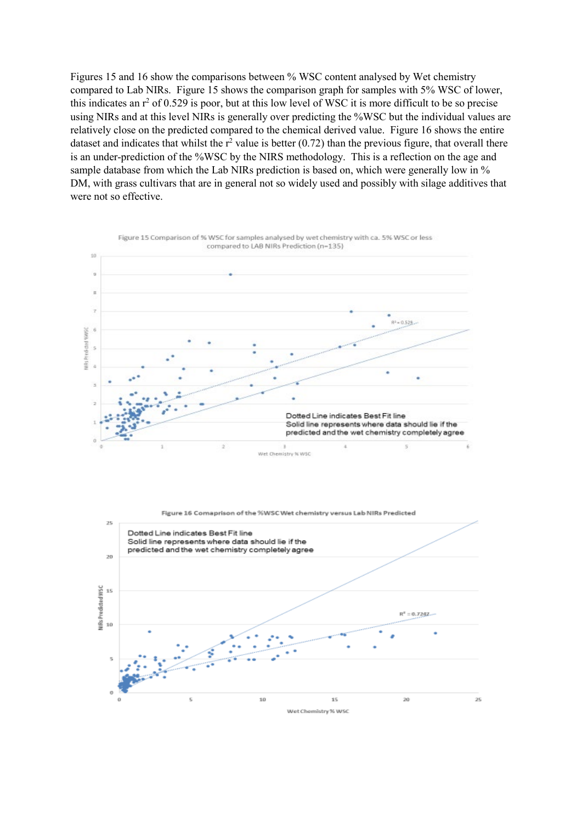Figures 15 and 16 show the comparisons between % WSC content analysed by Wet chemistry compared to Lab NIRs. Figure 15 shows the comparison graph for samples with 5% WSC of lower, this indicates an  $r^2$  of 0.529 is poor, but at this low level of WSC it is more difficult to be so precise using NIRs and at this level NIRs is generally over predicting the %WSC but the individual values are relatively close on the predicted compared to the chemical derived value. Figure 16 shows the entire dataset and indicates that whilst the  $r^2$  value is better (0.72) than the previous figure, that overall there is an under-prediction of the %WSC by the NIRS methodology. This is a reflection on the age and sample database from which the Lab NIRs prediction is based on, which were generally low in % DM, with grass cultivars that are in general not so widely used and possibly with silage additives that were not so effective.



Figure 16 Comaprison of the %WSCWet chemistry versus Lab NIRs Predicted

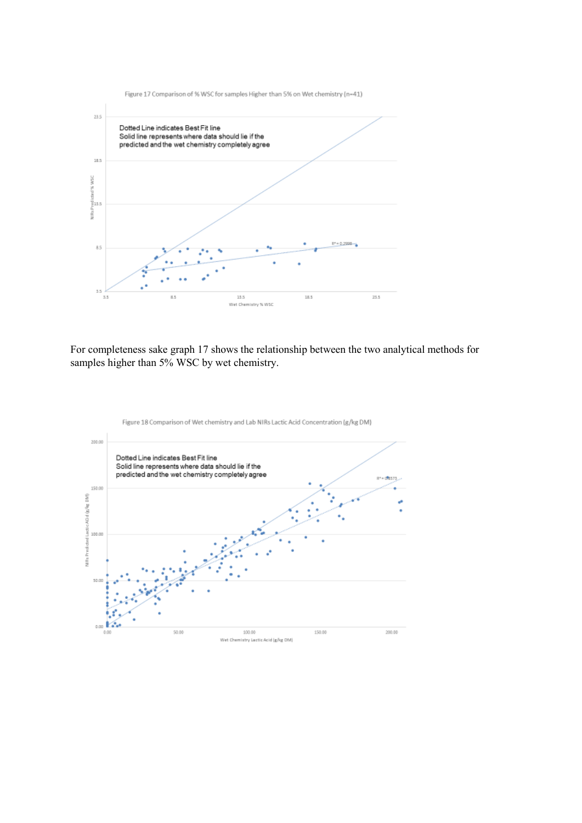

For completeness sake graph 17 shows the relationship between the two analytical methods for samples higher than 5% WSC by wet chemistry.



Figure 18 Comparison of Wet chemistry and Lab NIRs Lactic Acid Concentration (g/kg DM)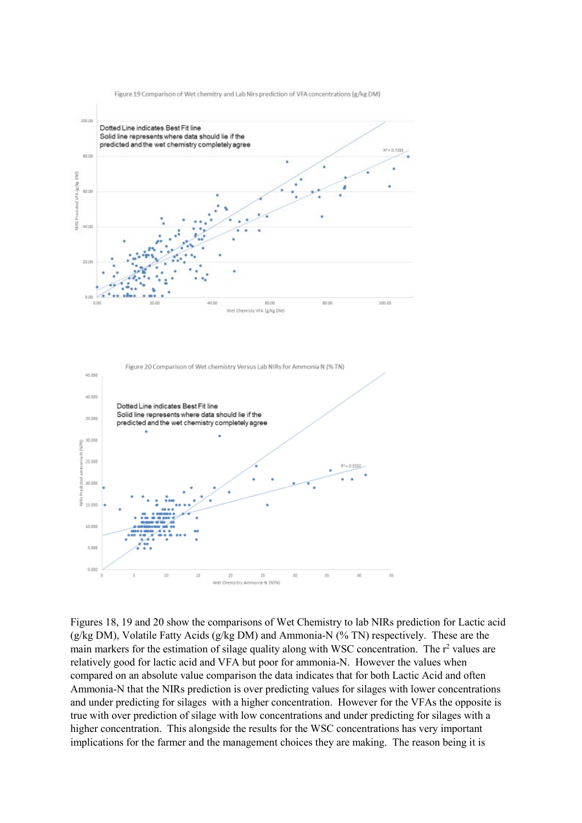

Figure 19 Comparison of Wet chemitry and Lab Nirs prediction of VFA concentrations (g/kg DM)

Figures 18, 19 and 20 show the comparisons of Wet Chemistry to lab NIRs prediction for Lactic acid (g/kg DM), Volatile Fatty Acids (g/kg DM) and Ammonia-N (% TN) respectively. These are the main markers for the estimation of silage quality along with WSC concentration. The  $r^2$  values are relatively good for lactic acid and VFA but poor for ammonia-N. However the values when compared on an absolute value comparison the data indicates that for both Lactic Acid and often Ammonia-N that the NIRs prediction is over predicting values for silages with lower concentrations and under predicting for silages with a higher concentration. However for the VFAs the opposite is true with over prediction of silage with low concentrations and under predicting for silages with a higher concentration. This alongside the results for the WSC concentrations has very important implications for the farmer and the management choices they are making. The reason being it is